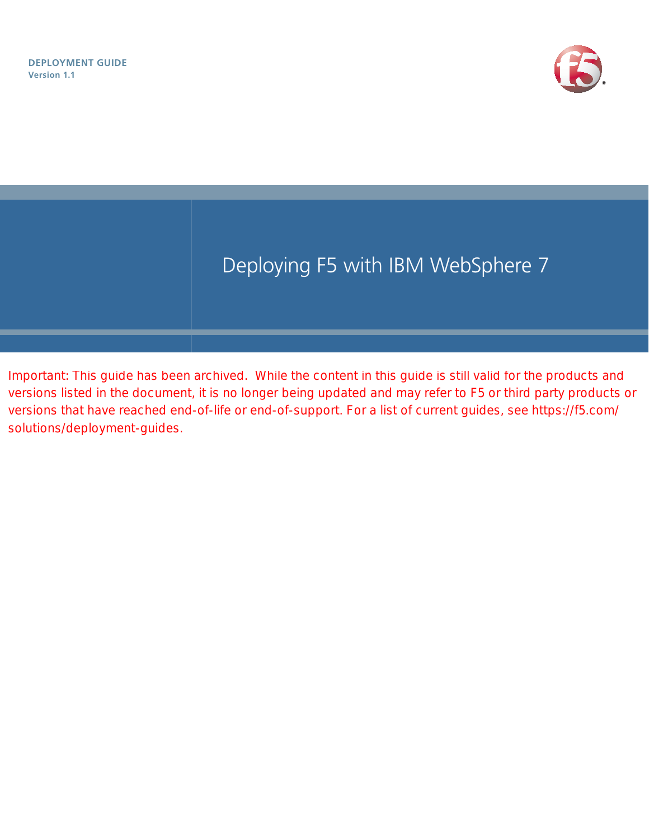



Important: This guide has been archived. While the content in this guide is still valid for the products and versions listed in the document, it is no longer being updated and may refer to F5 or third party products or versions that have reached end-of-life or end-of-support. For a list of current guides, see https://f5.com/ solutions/deployment-guides.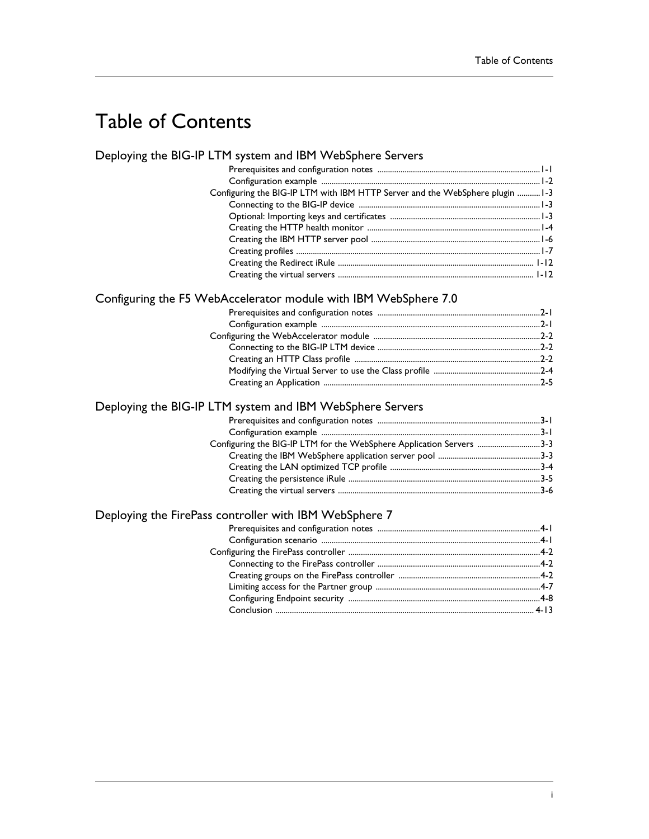# Table of Contents

## [Deploying the BIG-IP LTM system and IBM WebSphere Servers](#page-3-0)

| Configuring the BIG-IP LTM with IBM HTTP Server and the WebSphere plugin  1-3 |  |
|-------------------------------------------------------------------------------|--|
|                                                                               |  |
|                                                                               |  |
|                                                                               |  |
|                                                                               |  |
|                                                                               |  |
|                                                                               |  |
|                                                                               |  |

## Configuring the F5 WebAccelerator module with IBM WebSphere 7.0

## [Deploying the BIG-IP LTM system and IBM WebSphere Servers](#page-28-0)

| Configuring the BIG-IP LTM for the WebSphere Application Servers 3-3 |  |
|----------------------------------------------------------------------|--|
|                                                                      |  |
|                                                                      |  |
|                                                                      |  |
|                                                                      |  |

## [Deploying the FirePass controller with IBM WebSphere 7](#page-37-0)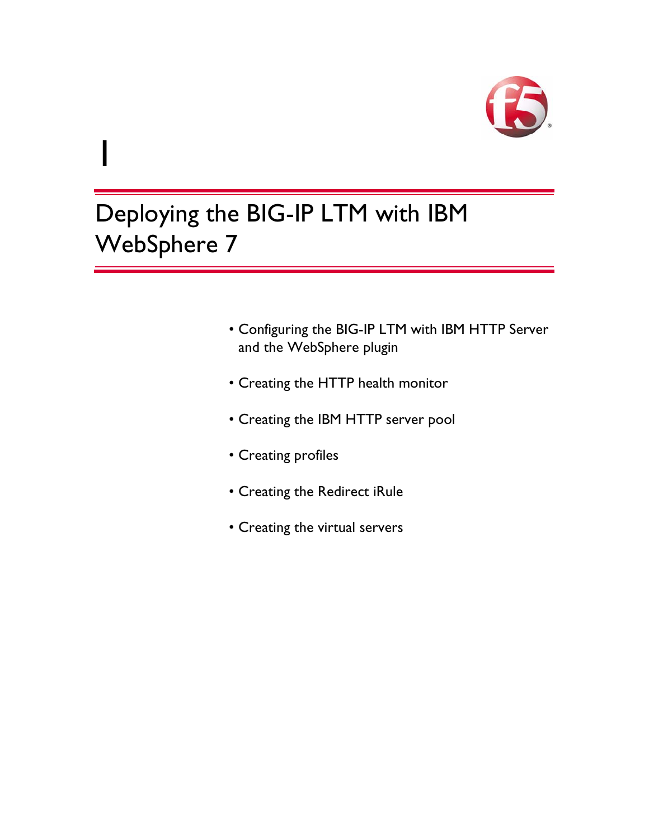

# Deploying the BIG-IP LTM with IBM WebSphere 7

1

- • [Configuring the BIG-IP LTM with IBM HTTP Server](#page-5-0)  [and the WebSphere plugin](#page-5-0)
- • [Creating the HTTP health monitor](#page-6-0)
- • [Creating the IBM HTTP server pool](#page-8-0)
- • [Creating profiles](#page-9-0)
- • [Creating the Redirect iRule](#page-14-0)
- • [Creating the virtual servers](#page-14-1)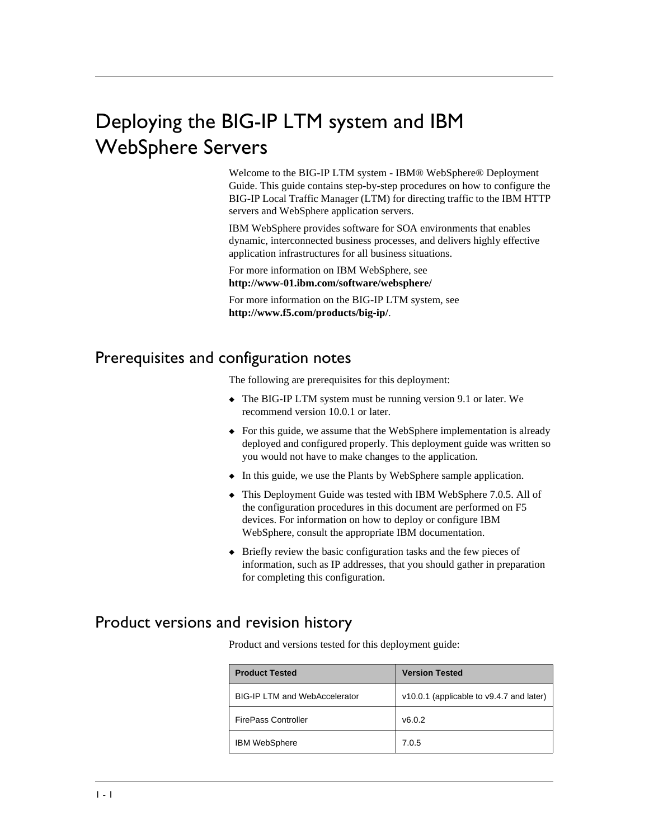# <span id="page-3-0"></span>Deploying the BIG-IP LTM system and IBM WebSphere Servers

Welcome to the BIG-IP LTM system - IBM® WebSphere® Deployment Guide. This guide contains step-by-step procedures on how to configure the BIG-IP Local Traffic Manager (LTM) for directing traffic to the IBM HTTP servers and WebSphere application servers.

IBM WebSphere provides software for SOA environments that enables dynamic, interconnected business processes, and delivers highly effective application infrastructures for all business situations.

For more information on IBM WebSphere, see **<http://www-01.ibm.com/software/websphere/>**

For more information on the BIG-IP LTM system, see **<http://www.f5.com/products/big-ip/>**.

## <span id="page-3-1"></span>Prerequisites and configuration notes

The following are prerequisites for this deployment:

- ◆ The BIG-IP LTM system must be running version 9.1 or later. We recommend version 10.0.1 or later.
- ◆ For this guide, we assume that the WebSphere implementation is already deployed and configured properly. This deployment guide was written so you would not have to make changes to the application.
- ◆ In this guide, we use the Plants by WebSphere sample application.
- ◆ This Deployment Guide was tested with IBM WebSphere 7.0.5. All of the configuration procedures in this document are performed on F5 devices. For information on how to deploy or configure IBM WebSphere, consult the appropriate IBM documentation.
- ◆ Briefly review the basic configuration tasks and the few pieces of information, such as IP addresses, that you should gather in preparation for completing this configuration.

## Product versions and revision history

Product and versions tested for this deployment guide:

| <b>Product Tested</b>                | <b>Version Tested</b>                    |  |
|--------------------------------------|------------------------------------------|--|
| <b>BIG-IP LTM and WebAccelerator</b> | v10.0.1 (applicable to v9.4.7 and later) |  |
| <b>FirePass Controller</b>           | v6.0.2                                   |  |
| <b>IBM WebSphere</b>                 | 7.0.5                                    |  |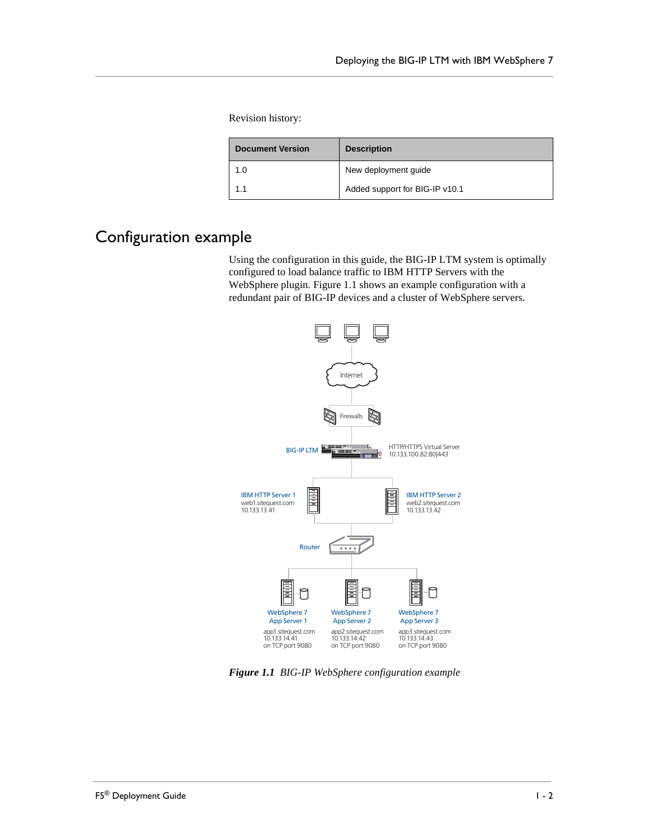Revision history:

| <b>Document Version</b> | <b>Description</b>             |  |
|-------------------------|--------------------------------|--|
| 1.0                     | New deployment guide           |  |
| 1 <sub>1</sub>          | Added support for BIG-IP v10.1 |  |

## <span id="page-4-0"></span>Configuration example

Using the configuration in this guide, the BIG-IP LTM system is optimally configured to load balance traffic to IBM HTTP Servers with the WebSphere plugin. Figure 1.1 shows an example configuration with a redundant pair of BIG-IP devices and a cluster of WebSphere servers.



*Figure 1.1 BIG-IP WebSphere configuration example*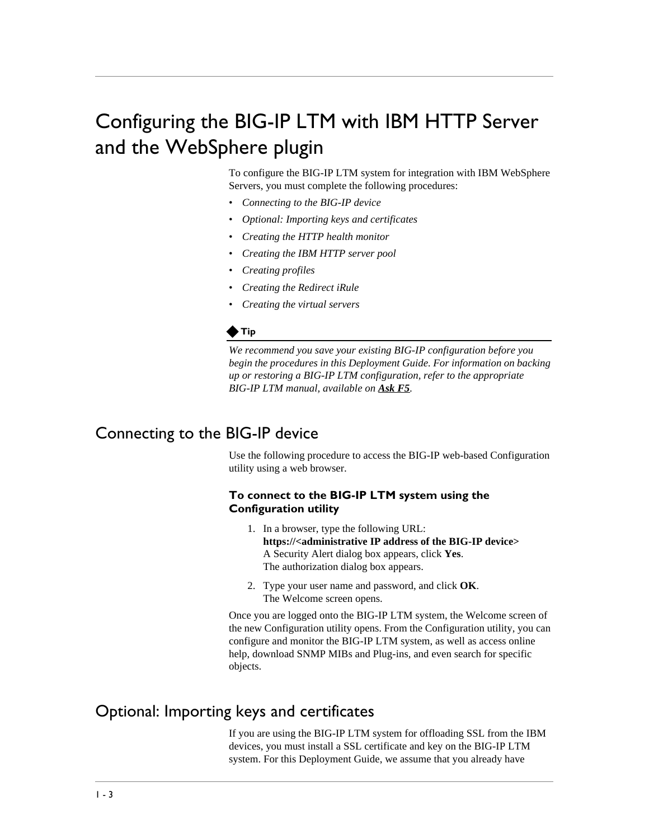# <span id="page-5-3"></span><span id="page-5-0"></span>Configuring the BIG-IP LTM with IBM HTTP Server and the WebSphere plugin

To configure the BIG-IP LTM system for integration with IBM WebSphere Servers, you must complete the following procedures:

- *[Connecting to the BIG-IP device](#page-5-1)*
- *[Optional: Importing keys and certificates](#page-5-2)*
- *[Creating the HTTP health monitor](#page-6-0)*
- *[Creating the IBM HTTP server pool](#page-8-0)*
- *[Creating profiles](#page-9-0)*
- *[Creating the Redirect iRule](#page-14-0)*
- *[Creating the virtual servers](#page-14-1)*

#### **◆Tip**

*We recommend you save your existing BIG-IP configuration before you begin the procedures in this Deployment Guide. For information on backing up or restoring a BIG-IP LTM configuration, refer to the appropriate BIG-IP LTM manual, available on [Ask F5](https://support.f5.com/kb/en-us/products/big-ip_ltm.html?product=big-ip_ltm).*

## <span id="page-5-1"></span>Connecting to the BIG-IP device

Use the following procedure to access the BIG-IP web-based Configuration utility using a web browser.

#### **To connect to the BIG-IP LTM system using the Configuration utility**

- 1. In a browser, type the following URL: **[https://<administrative IP address of the BIG-IP device>](https://bigip1.f5demo.com)** A Security Alert dialog box appears, click **Yes**. The authorization dialog box appears.
- 2. Type your user name and password, and click **OK**. The Welcome screen opens.

Once you are logged onto the BIG-IP LTM system, the Welcome screen of the new Configuration utility opens. From the Configuration utility, you can configure and monitor the BIG-IP LTM system, as well as access online help, download SNMP MIBs and Plug-ins, and even search for specific objects.

## <span id="page-5-2"></span>Optional: Importing keys and certificates

If you are using the BIG-IP LTM system for offloading SSL from the IBM devices, you must install a SSL certificate and key on the BIG-IP LTM system. For this Deployment Guide, we assume that you already have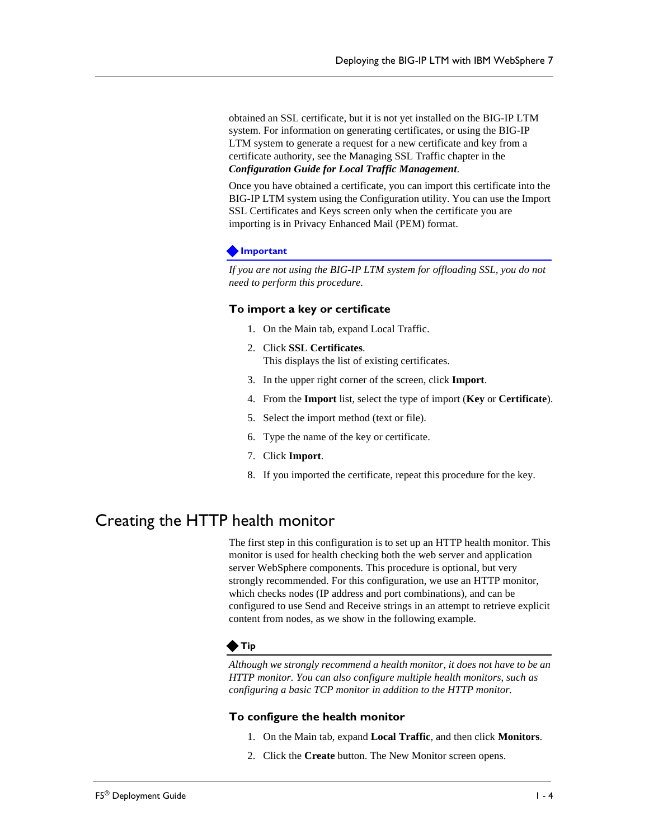obtained an SSL certificate, but it is not yet installed on the BIG-IP LTM system. For information on generating certificates, or using the BIG-IP LTM system to generate a request for a new certificate and key from a certificate authority, see the Managing SSL Traffic chapter in the *Configuration Guide for Local Traffic Management*.

Once you have obtained a certificate, you can import this certificate into the BIG-IP LTM system using the Configuration utility. You can use the Import SSL Certificates and Keys screen only when the certificate you are importing is in Privacy Enhanced Mail (PEM) format.

#### **Important**

*If you are not using the BIG-IP LTM system for offloading SSL, you do not need to perform this procedure.*

#### **To import a key or certificate**

- 1. On the Main tab, expand Local Traffic.
- 2. Click **SSL Certificates**. This displays the list of existing certificates.
- 3. In the upper right corner of the screen, click **Import**.
- 4. From the **Import** list, select the type of import (**Key** or **Certificate**).
- 5. Select the import method (text or file).
- 6. Type the name of the key or certificate.
- 7. Click **Import**.
- 8. If you imported the certificate, repeat this procedure for the key.

## <span id="page-6-1"></span><span id="page-6-0"></span>Creating the HTTP health monitor

The first step in this configuration is to set up an HTTP health monitor. This monitor is used for health checking both the web server and application server WebSphere components. This procedure is optional, but very strongly recommended. For this configuration, we use an HTTP monitor, which checks nodes (IP address and port combinations), and can be configured to use Send and Receive strings in an attempt to retrieve explicit content from nodes, as we show in the following example.

#### **◆Tip**

*Although we strongly recommend a health monitor, it does not have to be an HTTP monitor. You can also configure multiple health monitors, such as configuring a basic TCP monitor in addition to the HTTP monitor.* 

#### **To configure the health monitor**

- 1. On the Main tab, expand **Local Traffic**, and then click **Monitors**.
- 2. Click the **Create** button. The New Monitor screen opens.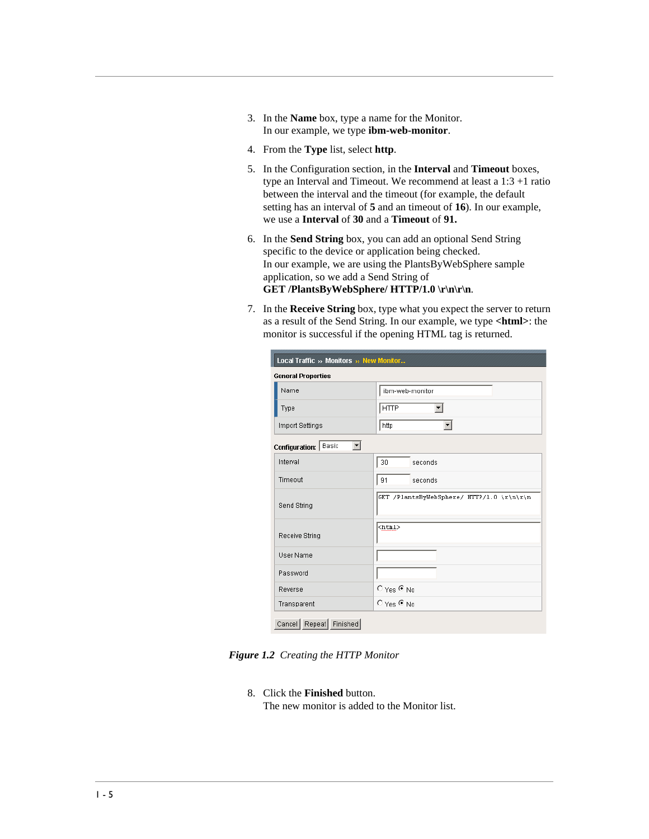- 3. In the **Name** box, type a name for the Monitor. In our example, we type **ibm-web-monitor**.
- 4. From the **Type** list, select **http**.
- 5. In the Configuration section, in the **Interval** and **Timeout** boxes, type an Interval and Timeout. We recommend at least a 1:3 +1 ratio between the interval and the timeout (for example, the default setting has an interval of **5** and an timeout of **16**). In our example, we use a **Interval** of **30** and a **Timeout** of **91.**
- 6. In the **Send String** box, you can add an optional Send String specific to the device or application being checked. In our example, we are using the PlantsByWebSphere sample application, so we add a Send String of GET /PlantsByWebSphere/ HTTP/1.0 \r\n\r\n.
- 7. In the **Receive String** box, type what you expect the server to return as a result of the Send String. In our example, we type **<html>**: the monitor is successful if the opening HTML tag is returned.

| Local Traffic » Monitors » New Monitor |                                           |
|----------------------------------------|-------------------------------------------|
| <b>General Properties</b>              |                                           |
| Name                                   | ibm-web-monitor                           |
| Type                                   | <b>HTTP</b>                               |
| Import Settings                        | http<br>▾╎                                |
| Configuration: Basic                   |                                           |
| Interval                               | 30<br>seconds                             |
| Timeout                                | 91<br>seconds                             |
| Send String                            | GET /PlantsByWebSphere/ HTTP/1.0 \r\n\r\n |
| Receive String                         | <html></html>                             |
| User Name                              |                                           |
| Password                               |                                           |
| Reverse                                | $\bigcirc$ Yes $\circledast$ No           |
| Transparent                            | $O$ Yes $O$ No                            |

*Figure 1.2 Creating the HTTP Monitor* 

8. Click the **Finished** button.

The new monitor is added to the Monitor list.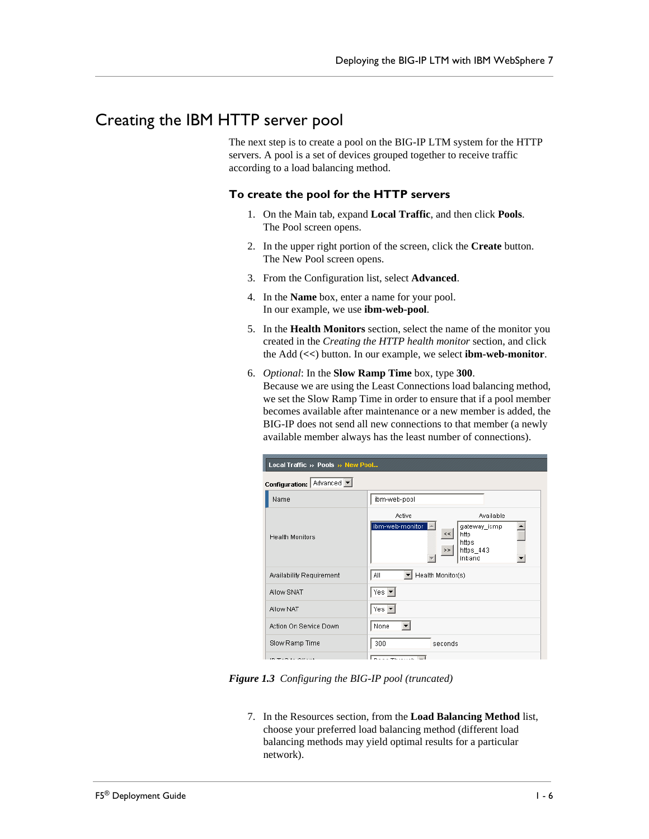## <span id="page-8-0"></span>Creating the IBM HTTP server pool

The next step is to create a pool on the BIG-IP LTM system for the HTTP servers. A pool is a set of devices grouped together to receive traffic according to a load balancing method.

#### **To create the pool for the HTTP servers**

- 1. On the Main tab, expand **Local Traffic**, and then click **Pools**. The Pool screen opens.
- 2. In the upper right portion of the screen, click the **Create** button. The New Pool screen opens.
- 3. From the Configuration list, select **Advanced**.
- 4. In the **Name** box, enter a name for your pool. In our example, we use **ibm-web-pool**.
- 5. In the **Health Monitors** section, select the name of the monitor you created in the *[Creating the HTTP health monitor](#page-6-0)* section, and click the Add (**<<**) button. In our example, we select **ibm-web-monitor**.
- 6. *Optional*: In the **Slow Ramp Time** box, type **300**.

Because we are using the Least Connections load balancing method, we set the Slow Ramp Time in order to ensure that if a pool member becomes available after maintenance or a new member is added, the BIG-IP does not send all new connections to that member (a newly available member always has the least number of connections).

| Local Traffic » Pools » New Pool |                                                                                                                                         |  |
|----------------------------------|-----------------------------------------------------------------------------------------------------------------------------------------|--|
| Configuration: Advanced          |                                                                                                                                         |  |
| Name                             | ibm-web-pool                                                                                                                            |  |
| <b>Health Monitors</b>           | Available<br>Active<br>ibm-web-monitor $\Box$<br>gateway_icmp<br>$\leq$ $\leq$ $\mid$<br>http<br>https<br>https_443<br>$\leq$<br>inband |  |
| Availability Requirement         | Health Monitor(s)<br>All                                                                                                                |  |
| Allow SNAT                       | Yes $\blacktriangledown$                                                                                                                |  |
| Allow NAT                        | $Yes \nightharpoonup$                                                                                                                   |  |
| Action On Service Down           | None                                                                                                                                    |  |
| Slow Ramp Time                   | 300<br>seconds                                                                                                                          |  |
| 10.75045015                      | التتاريخ ومحاوية والمحافظ                                                                                                               |  |

*Figure 1.3 Configuring the BIG-IP pool (truncated)*

7. In the Resources section, from the **Load Balancing Method** list, choose your preferred load balancing method (different load balancing methods may yield optimal results for a particular network).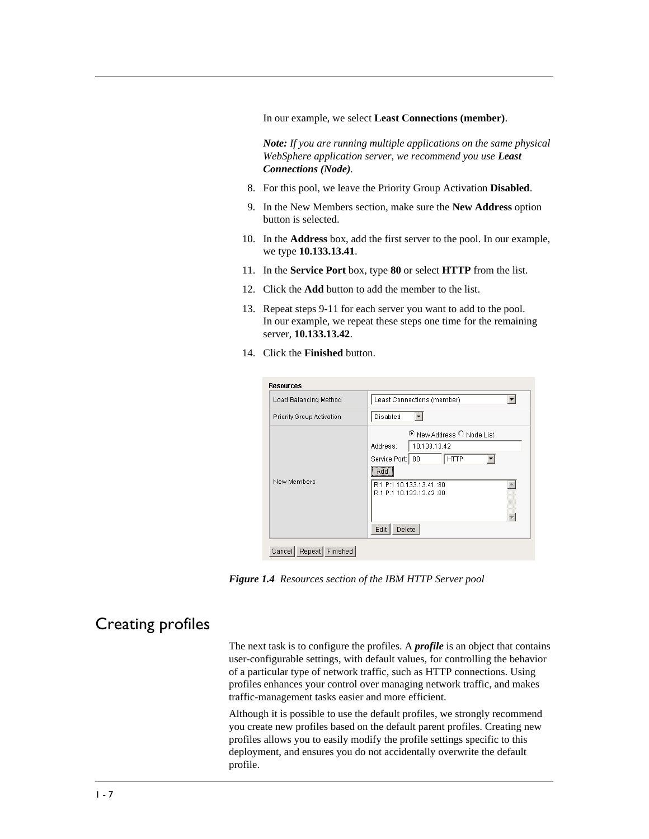In our example, we select **Least Connections (member)**.

*Note: If you are running multiple applications on the same physical WebSphere application server, we recommend you use Least Connections (Node).*

- 8. For this pool, we leave the Priority Group Activation **Disabled**.
- 9. In the New Members section, make sure the **New Address** option button is selected.
- 10. In the **Address** box, add the first server to the pool. In our example, we type **10.133.13.41**.
- 11. In the **Service Port** box, type **80** or select **HTTP** from the list.
- 12. Click the **Add** button to add the member to the list.
- 13. Repeat steps 9-11 for each server you want to add to the pool. In our example, we repeat these steps one time for the remaining server, **10.133.13.42**.
- 14. Click the **Finished** button.

| <b>Resources</b>          |                                                                                                                                                                        |
|---------------------------|------------------------------------------------------------------------------------------------------------------------------------------------------------------------|
| Load Balancing Method     | Least Connections (member)                                                                                                                                             |
| Priority Group Activation | Disabled                                                                                                                                                               |
| New Members               | C New Address C Node List<br>10.133.13.42<br>Address:<br>  нттр<br>Service Port: 80<br><br>Add<br>R:1 P:1 10.133.13.41:80<br>R:1 P:1 10.133.13.42:80<br>Edit<br>Delete |

*Figure 1.4 Resources section of the IBM HTTP Server pool*

## <span id="page-9-0"></span>Creating profiles

The next task is to configure the profiles. A *profile* is an object that contains user-configurable settings, with default values, for controlling the behavior of a particular type of network traffic, such as HTTP connections. Using profiles enhances your control over managing network traffic, and makes traffic-management tasks easier and more efficient.

Although it is possible to use the default profiles, we strongly recommend you create new profiles based on the default parent profiles. Creating new profiles allows you to easily modify the profile settings specific to this deployment, and ensures you do not accidentally overwrite the default profile.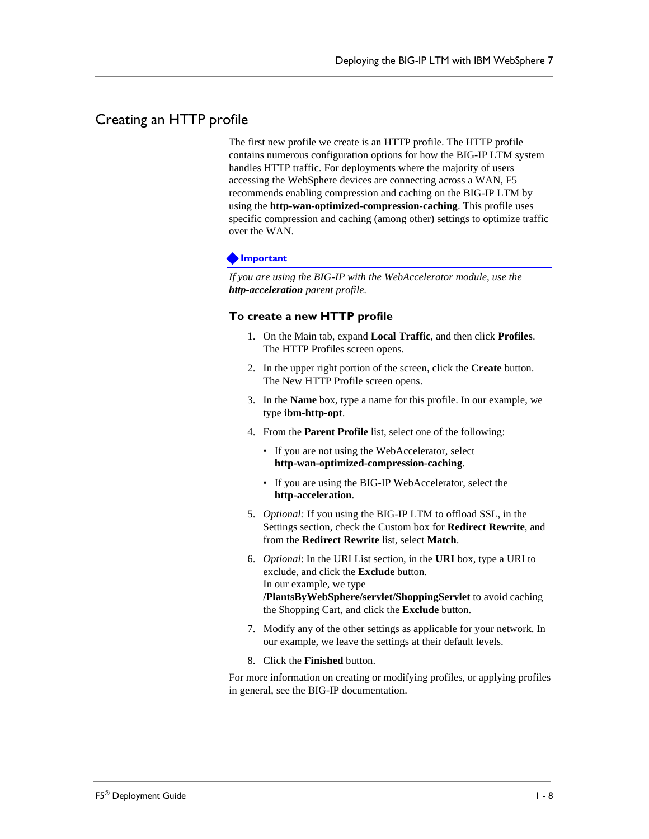## <span id="page-10-0"></span>Creating an HTTP profile

The first new profile we create is an HTTP profile. The HTTP profile contains numerous configuration options for how the BIG-IP LTM system handles HTTP traffic. For deployments where the majority of users accessing the WebSphere devices are connecting across a WAN, F5 recommends enabling compression and caching on the BIG-IP LTM by using the **http-wan-optimized-compression-caching**. This profile uses specific compression and caching (among other) settings to optimize traffic over the WAN.

#### **Important**

*If you are using the BIG-IP with the WebAccelerator module, use the http-acceleration parent profile.*

#### **To create a new HTTP profile**

- 1. On the Main tab, expand **Local Traffic**, and then click **Profiles**. The HTTP Profiles screen opens.
- 2. In the upper right portion of the screen, click the **Create** button. The New HTTP Profile screen opens.
- 3. In the **Name** box, type a name for this profile. In our example, we type **ibm-http-opt**.
- 4. From the **Parent Profile** list, select one of the following:
	- If you are not using the WebAccelerator, select **http-wan-optimized-compression-caching**.
	- If you are using the BIG-IP WebAccelerator, select the **http-acceleration**.
- 5. *Optional:* If you using the BIG-IP LTM to offload SSL, in the Settings section, check the Custom box for **Redirect Rewrite**, and from the **Redirect Rewrite** list, select **Match**.
- 6. *Optional*: In the URI List section, in the **URI** box, type a URI to exclude, and click the **Exclude** button. In our example, we type **/PlantsByWebSphere/servlet/ShoppingServlet** to avoid caching the Shopping Cart, and click the **Exclude** button.
- 7. Modify any of the other settings as applicable for your network. In our example, we leave the settings at their default levels.
- 8. Click the **Finished** button.

For more information on creating or modifying profiles, or applying profiles in general, see the BIG-IP documentation.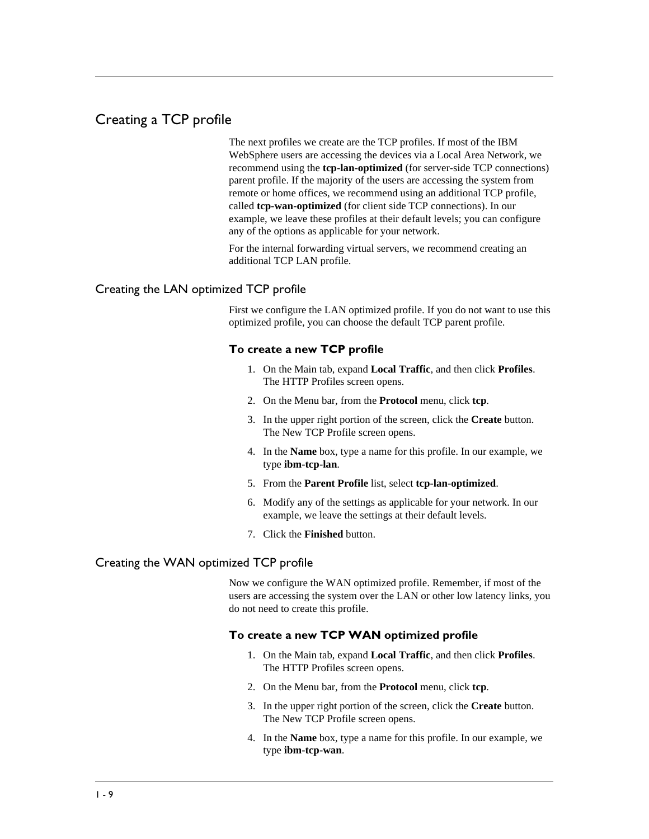## Creating a TCP profile

The next profiles we create are the TCP profiles. If most of the IBM WebSphere users are accessing the devices via a Local Area Network, we recommend using the **tcp-lan-optimized** (for server-side TCP connections) parent profile. If the majority of the users are accessing the system from remote or home offices, we recommend using an additional TCP profile, called **tcp-wan-optimized** (for client side TCP connections). In our example, we leave these profiles at their default levels; you can configure any of the options as applicable for your network.

For the internal forwarding virtual servers, we recommend creating an additional TCP LAN profile.

#### Creating the LAN optimized TCP profile

First we configure the LAN optimized profile. If you do not want to use this optimized profile, you can choose the default TCP parent profile.

#### **To create a new TCP profile**

- 1. On the Main tab, expand **Local Traffic**, and then click **Profiles**. The HTTP Profiles screen opens.
- 2. On the Menu bar, from the **Protocol** menu, click **tcp**.
- 3. In the upper right portion of the screen, click the **Create** button. The New TCP Profile screen opens.
- 4. In the **Name** box, type a name for this profile. In our example, we type **ibm-tcp-lan**.
- 5. From the **Parent Profile** list, select **tcp-lan-optimized**.
- 6. Modify any of the settings as applicable for your network. In our example, we leave the settings at their default levels.
- 7. Click the **Finished** button.

#### Creating the WAN optimized TCP profile

Now we configure the WAN optimized profile. Remember, if most of the users are accessing the system over the LAN or other low latency links, you do not need to create this profile.

#### **To create a new TCP WAN optimized profile**

- 1. On the Main tab, expand **Local Traffic**, and then click **Profiles**. The HTTP Profiles screen opens.
- 2. On the Menu bar, from the **Protocol** menu, click **tcp**.
- 3. In the upper right portion of the screen, click the **Create** button. The New TCP Profile screen opens.
- 4. In the **Name** box, type a name for this profile. In our example, we type **ibm-tcp-wan**.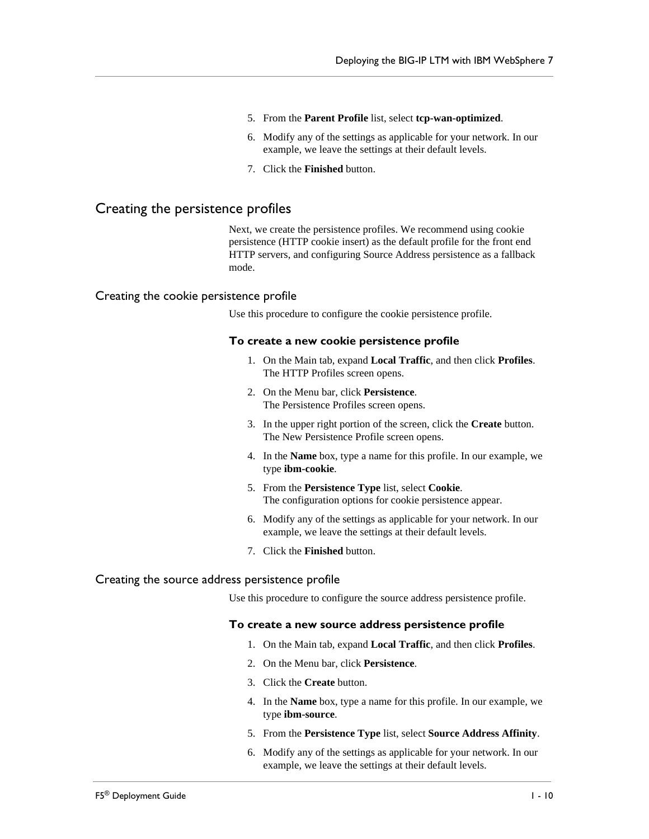- 5. From the **Parent Profile** list, select **tcp-wan-optimized**.
- 6. Modify any of the settings as applicable for your network. In our example, we leave the settings at their default levels.
- 7. Click the **Finished** button.

#### Creating the persistence profiles

Next, we create the persistence profiles. We recommend using cookie persistence (HTTP cookie insert) as the default profile for the front end HTTP servers, and configuring Source Address persistence as a fallback mode.

#### Creating the cookie persistence profile

Use this procedure to configure the cookie persistence profile.

#### **To create a new cookie persistence profile**

- 1. On the Main tab, expand **Local Traffic**, and then click **Profiles**. The HTTP Profiles screen opens.
- 2. On the Menu bar, click **Persistence**. The Persistence Profiles screen opens.
- 3. In the upper right portion of the screen, click the **Create** button. The New Persistence Profile screen opens.
- 4. In the **Name** box, type a name for this profile. In our example, we type **ibm-cookie**.
- 5. From the **Persistence Type** list, select **Cookie**. The configuration options for cookie persistence appear.
- 6. Modify any of the settings as applicable for your network. In our example, we leave the settings at their default levels.
- 7. Click the **Finished** button.

#### Creating the source address persistence profile

Use this procedure to configure the source address persistence profile.

#### **To create a new source address persistence profile**

- 1. On the Main tab, expand **Local Traffic**, and then click **Profiles**.
- 2. On the Menu bar, click **Persistence**.
- 3. Click the **Create** button.
- 4. In the **Name** box, type a name for this profile. In our example, we type **ibm-source**.
- 5. From the **Persistence Type** list, select **Source Address Affinity**.
- 6. Modify any of the settings as applicable for your network. In our example, we leave the settings at their default levels.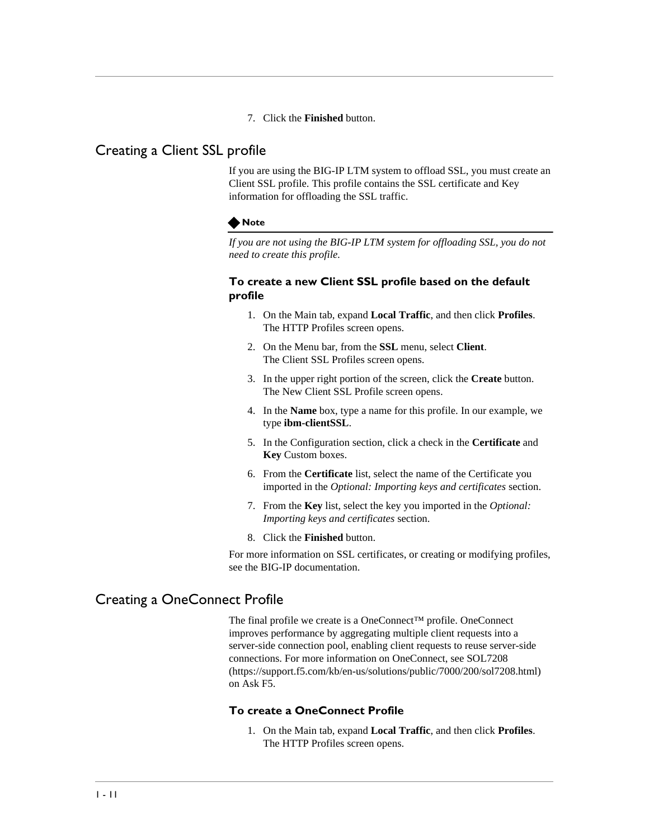7. Click the **Finished** button.

### Creating a Client SSL profile

If you are using the BIG-IP LTM system to offload SSL, you must create an Client SSL profile. This profile contains the SSL certificate and Key information for offloading the SSL traffic.

#### **Note**

*If you are not using the BIG-IP LTM system for offloading SSL, you do not need to create this profile.*

#### **To create a new Client SSL profile based on the default profile**

- 1. On the Main tab, expand **Local Traffic**, and then click **Profiles**. The HTTP Profiles screen opens.
- 2. On the Menu bar, from the **SSL** menu, select **Client**. The Client SSL Profiles screen opens.
- 3. In the upper right portion of the screen, click the **Create** button. The New Client SSL Profile screen opens.
- 4. In the **Name** box, type a name for this profile. In our example, we type **ibm-clientSSL**.
- 5. In the Configuration section, click a check in the **Certificate** and **Key** Custom boxes.
- 6. From the **Certificate** list, select the name of the Certificate you imported in th[e](#page-5-2) *[Optional: Importing keys and certificates](#page-5-2)* section.
- 7. From the **Key** list, select the key you imported in the *[Optional:](#page-5-2)  [Importing keys and certificates](#page-5-2)* section.
- 8. Click the **Finished** button.

For more information on SSL certificates, or creating or modifying profiles, see the BIG-IP documentation.

## <span id="page-13-0"></span>Creating a OneConnect Profile

The final profile we create is a OneConnect™ profile. OneConnect improves performance by aggregating multiple client requests into a server-side connection pool, enabling client requests to reuse server-side connections. For more information on OneConnect, see SOL7208 (https://support.f5.com/kb/en-us/solutions/public/7000/200/sol7208.html) on Ask F5.

#### **To create a OneConnect Profile**

1. On the Main tab, expand **Local Traffic**, and then click **Profiles**. The HTTP Profiles screen opens.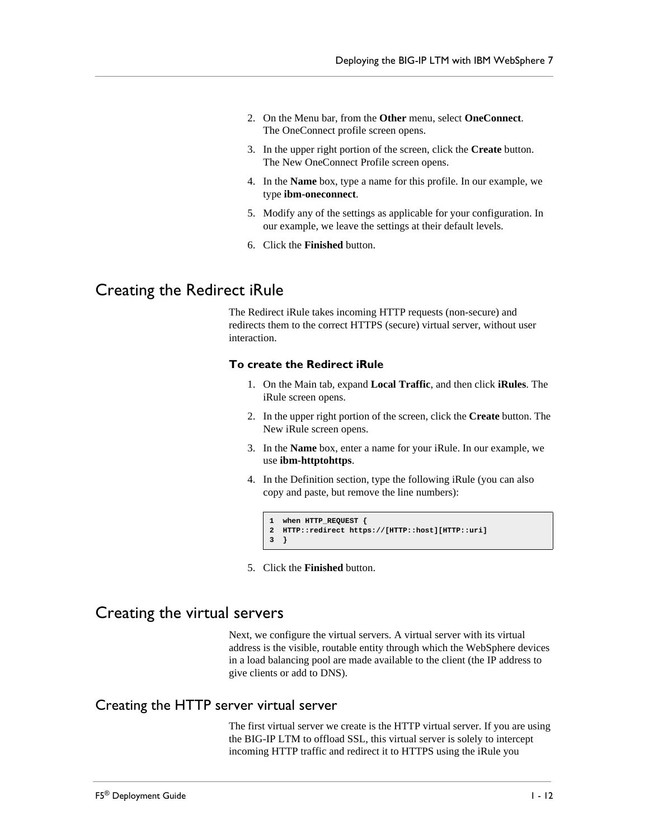- 2. On the Menu bar, from the **Other** menu, select **OneConnect**. The OneConnect profile screen opens.
- 3. In the upper right portion of the screen, click the **Create** button. The New OneConnect Profile screen opens.
- 4. In the **Name** box, type a name for this profile. In our example, we type **ibm-oneconnect**.
- 5. Modify any of the settings as applicable for your configuration. In our example, we leave the settings at their default levels.
- 6. Click the **Finished** button.

## <span id="page-14-0"></span>Creating the Redirect iRule

The Redirect iRule takes incoming HTTP requests (non-secure) and redirects them to the correct HTTPS (secure) virtual server, without user interaction.

#### **To create the Redirect iRule**

- 1. On the Main tab, expand **Local Traffic**, and then click **iRules**. The iRule screen opens.
- 2. In the upper right portion of the screen, click the **Create** button. The New iRule screen opens.
- 3. In the **Name** box, enter a name for your iRule. In our example, we use **ibm-httptohttps**.
- 4. In the Definition section, type the following iRule (you can also copy and paste, but remove the line numbers):

```
1 when HTTP_REQUEST {
2 HTTP::redirect https://[HTTP::host][HTTP::uri]
3 }
```
5. Click the **Finished** button.

## <span id="page-14-1"></span>Creating the virtual servers

Next, we configure the virtual servers. A virtual server with its virtual address is the visible, routable entity through which the WebSphere devices in a load balancing pool are made available to the client (the IP address to give clients or add to DNS).

## Creating the HTTP server virtual server

The first virtual server we create is the HTTP virtual server. If you are using the BIG-IP LTM to offload SSL, this virtual server is solely to intercept incoming HTTP traffic and redirect it to HTTPS using the iRule you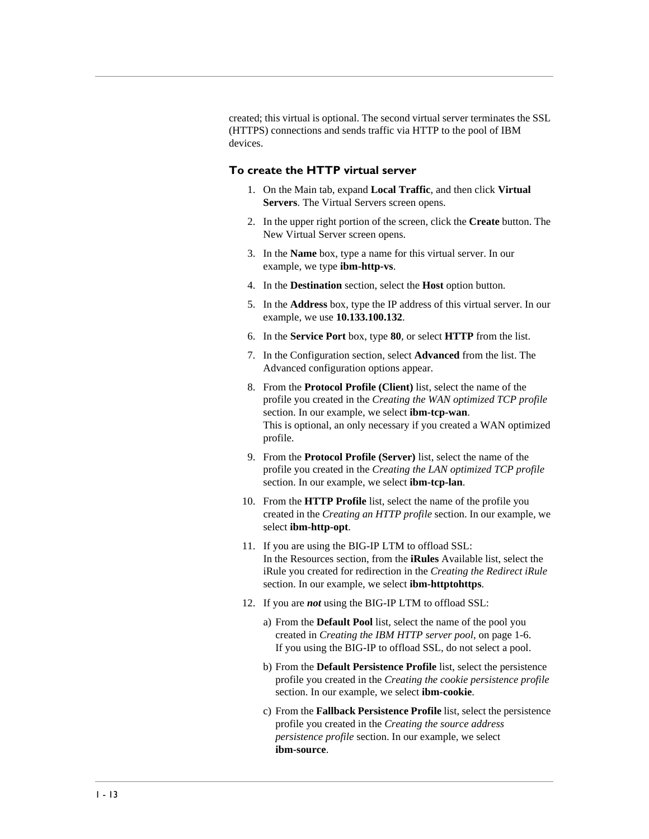created; this virtual is optional. The second virtual server terminates the SSL (HTTPS) connections and sends traffic via HTTP to the pool of IBM devices.

#### **To create the HTTP virtual server**

- 1. On the Main tab, expand **Local Traffic**, and then click **Virtual Servers**. The Virtual Servers screen opens.
- 2. In the upper right portion of the screen, click the **Create** button. The New Virtual Server screen opens.
- 3. In the **Name** box, type a name for this virtual server. In our example, we type **ibm-http-vs**.
- 4. In the **Destination** section, select the **Host** option button.
- 5. In the **Address** box, type the IP address of this virtual server. In our example, we use **10.133.100.132**.
- 6. In the **Service Port** box, type **80**, or select **HTTP** from the list.
- 7. In the Configuration section, select **Advanced** from the list. The Advanced configuration options appear.
- 8. From the **Protocol Profile (Client)** list, select the name of the profile you created in the *Creating the WAN optimized TCP profile*  section. In our example, we select **ibm-tcp-wan**. This is optional, an only necessary if you created a WAN optimized profile.
- 9. From the **Protocol Profile (Server)** list, select the name of the profile you created in the *Creating the LAN optimized TCP profile*  section. In our example, we select **ibm-tcp-lan**.
- 10. From the **HTTP Profile** list, select the name of the profile you created in the *Creating an HTTP profile* section. In our example, we select **ibm-http-opt**.
- 11. If you are using the BIG-IP LTM to offload SSL: In the Resources section, from the **iRules** Available list, select the iRule you created for redirection in the *[Creating the Redirect iRule](#page-14-0)*  section. In our example, we select **ibm-httptohttps**.
- 12. If you are *not* using the BIG-IP LTM to offload SSL:
	- a) From the **Default Pool** list, select the name of the pool you created in *[Creating the IBM HTTP server pool](#page-8-0)*, on page 1-6. If you using the BIG-IP to offload SSL, do not select a pool.
	- b) From the **Default Persistence Profile** list, select the persistence profile you created in the *Creating the cookie persistence profile*  section. In our example, we select **ibm-cookie**.
	- c) From the **Fallback Persistence Profile** list, select the persistence profile you created in the *Creating the source address persistence profile* section. In our example, we select **ibm-source**.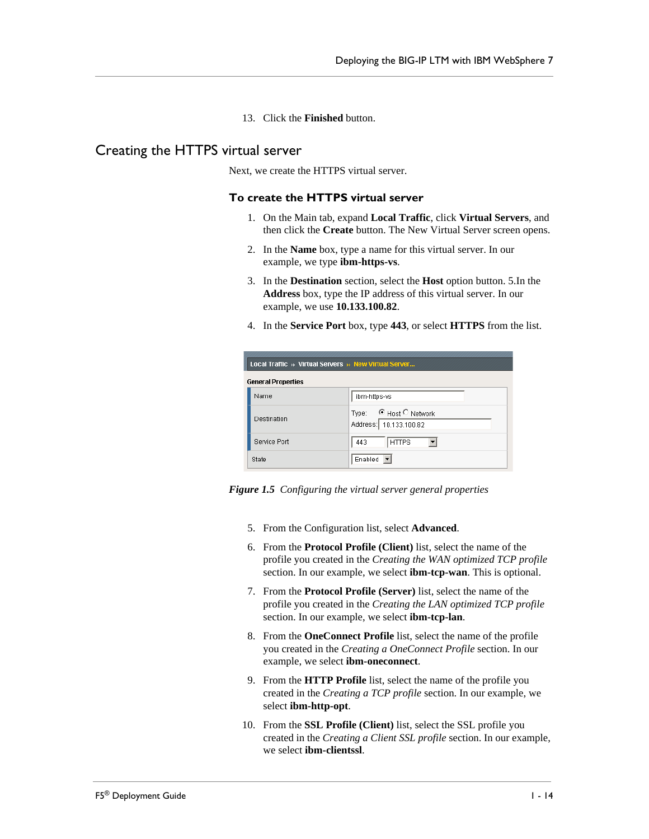13. Click the **Finished** button.

## Creating the HTTPS virtual server

Next, we create the HTTPS virtual server.

#### **To create the HTTPS virtual server**

- 1. On the Main tab, expand **Local Traffic**, click **Virtual Servers**, and then click the **Create** button. The New Virtual Server screen opens.
- 2. In the **Name** box, type a name for this virtual server. In our example, we type **ibm-https-vs**.
- 3. In the **Destination** section, select the **Host** option button. 5.In the **Address** box, type the IP address of this virtual server. In our example, we use **10.133.100.82**.
- 4. In the **Service Port** box, type **443**, or select **HTTPS** from the list.

| Local Traffic » Virtual Servers » New Virtual Server |                           |                                                 |  |  |
|------------------------------------------------------|---------------------------|-------------------------------------------------|--|--|
|                                                      | <b>General Properties</b> |                                                 |  |  |
|                                                      | <b>Name</b>               | ibm-https-vs                                    |  |  |
|                                                      | Destination               | Type: GHost C Network<br>Address: 10.133.100.82 |  |  |
|                                                      | Service Port              | <b>HTTPS</b><br>443                             |  |  |
|                                                      | State                     | Enabled $\blacktriangledown$                    |  |  |

*Figure 1.5 Configuring the virtual server general properties*

- 5. From the Configuration list, select **Advanced**.
- 6. From the **Protocol Profile (Client)** list, select the name of the profile you created in the *Creating the WAN optimized TCP profile*  section. In our example, we select **ibm-tcp-wan**. This is optional.
- 7. From the **Protocol Profile (Server)** list, select the name of the profile you created in the *Creating the LAN optimized TCP profile*  section. In our example, we select **ibm-tcp-lan**.
- 8. From the **OneConnect Profile** list, select the name of the profile you created in the *[Creating a OneConnect Profile](#page-13-0)* section. In our example, we select **ibm-oneconnect**.
- 9. From the **HTTP Profile** list, select the name of the profile you created in the *Creating a TCP profile* section. In our example, we select **ibm-http-opt**.
- 10. From the **SSL Profile (Client)** list, select the SSL profile you created in the *Creating a Client SSL profile* section. In our example, we select **ibm-clientssl**.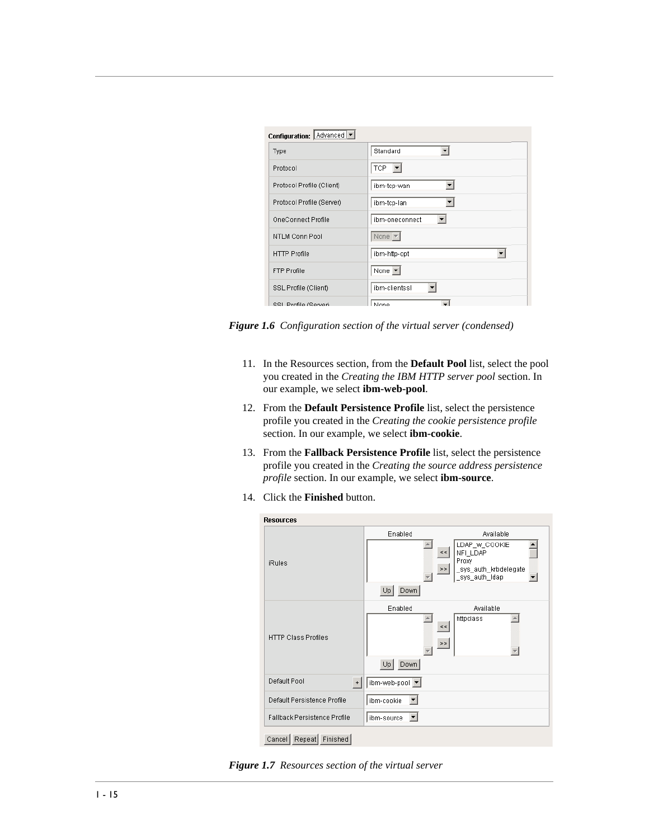| Configuration: Advanced   |                              |
|---------------------------|------------------------------|
| Type                      | Standard<br>▼                |
| Protocol                  | TCP.                         |
| Protocol Profile (Client) | ibm-tcp-wan                  |
| Protocol Profile (Server) | ibm-tcp-lan                  |
| OneConnect Profile        | ibm-oneconnect               |
| NTLM Conn Pool            | None $\overline{\mathbf{v}}$ |
| <b>HTTP Profile</b>       | ibm-http-opt                 |
| <b>FTP Profile</b>        | None $\blacktriangleright$   |
| SSL Profile (Client)      | ibm-clientssl                |
| SSL Profile (Server)      | l None                       |

*Figure 1.6 Configuration section of the virtual server (condensed)*

- 11. In the Resources section, from the **Default Pool** list, select the pool you created in the *[Creating the IBM HTTP server pool](#page-8-0)* section. In our example, we select **ibm-web-pool**.
- 12. From the **Default Persistence Profile** list, select the persistence profile you created in the *Creating the cookie persistence profile*  section. In our example, we select **ibm-cookie**.
- 13. From the **Fallback Persistence Profile** list, select the persistence profile you created in the *Creating the source address persistence profile* section. In our example, we select **ibm-source**.
- 14. Click the **Finished** button.

| <b>Resources</b>             |                                           |                                                                               |
|------------------------------|-------------------------------------------|-------------------------------------------------------------------------------|
|                              | Enabled                                   | Available                                                                     |
| <b>iRules</b>                | $<$ $<$<br>$>\,>$                         | LDAP_w_COOKIE<br>NFI_LDAP<br>Proxy<br>_sys_auth_krbdelegate<br>_sys_auth_idap |
|                              | Down<br>Up                                |                                                                               |
| <b>HTTP Class Profiles</b>   | Enabled<br>$<\,<$<br>$>\,>$<br>Up<br>Down | Available<br>httpclass                                                        |
| Default Pool<br>$\,$ +       | ibm-web-pool ▼                            |                                                                               |
| Default Persistence Profile  | ibm-cookie                                |                                                                               |
| Fallback Persistence Profile | ibm-source                                |                                                                               |
| Finished<br>Repeat<br>Cancel |                                           |                                                                               |

*Figure 1.7 Resources section of the virtual server*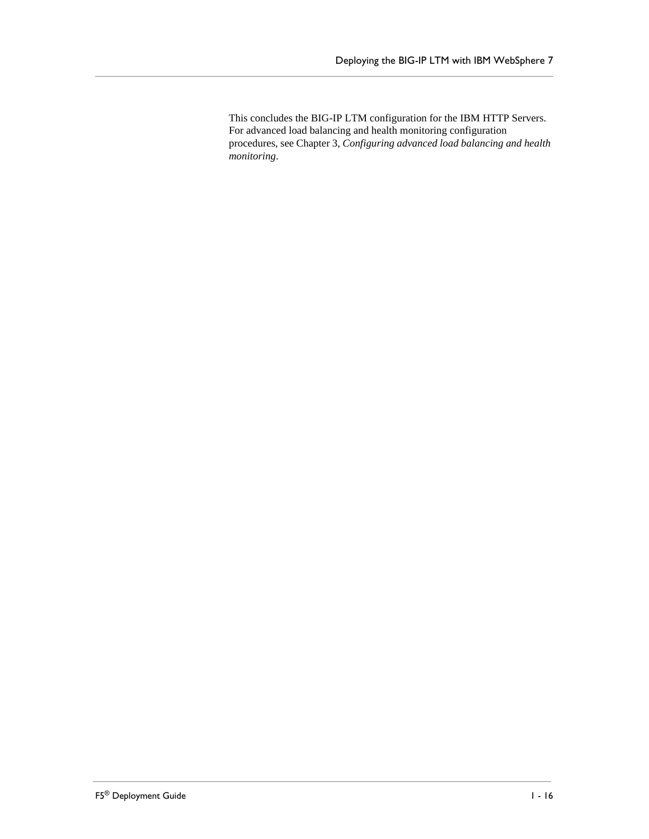This concludes the BIG-IP LTM configuration for the IBM HTTP Servers. For advanced load balancing and health monitoring configuration procedures, see Chapter 3, *[Configuring advanced load balancing and health](#page-27-0)  [monitoring](#page-27-0)*.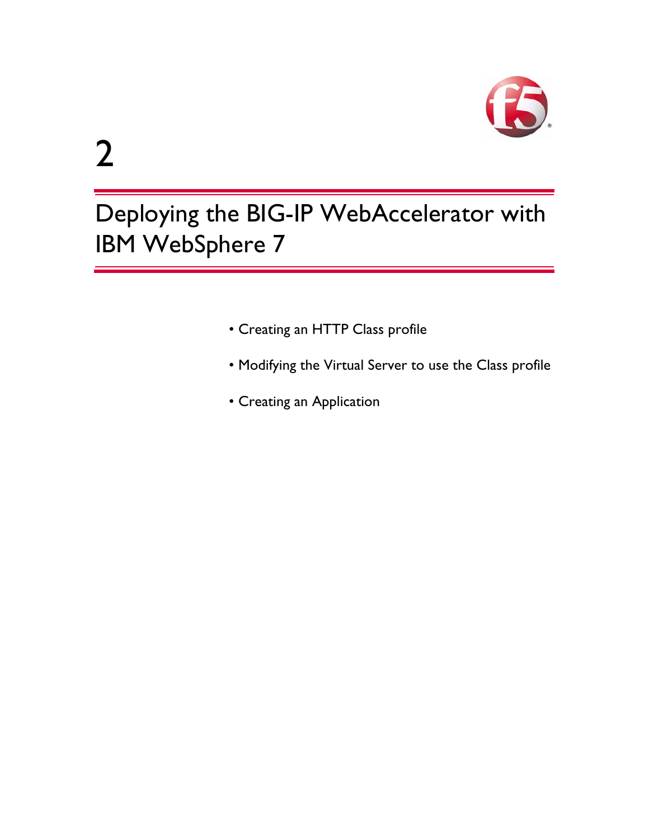

# Deploying the BIG-IP WebAccelerator with IBM WebSphere 7

2

- • [Creating an HTTP Class profile](#page-21-2)
- • [Modifying the Virtual Server to use the Class profile](#page-23-0)
- • [Creating an Application](#page-24-0)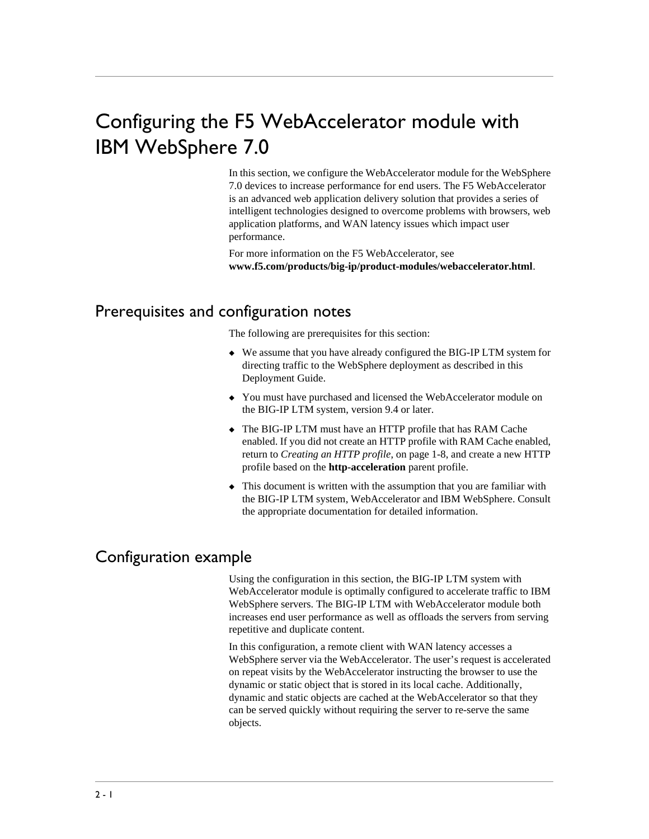# Configuring the F5 WebAccelerator module with IBM WebSphere 7.0

In this section, we configure the WebAccelerator module for the WebSphere 7.0 devices to increase performance for end users. The F5 WebAccelerator is an advanced web application delivery solution that provides a series of intelligent technologies designed to overcome problems with browsers, web application platforms, and WAN latency issues which impact user performance.

For more information on the F5 WebAccelerator, see **[www.f5.com/products/big-ip/product-modules/webaccelerator.html](http://www.f5.com/products/big-ip/product-modules/webaccelerator.html)**.

## <span id="page-20-0"></span>Prerequisites and configuration notes

The following are prerequisites for this section:

- ◆ We assume that you have already configured the BIG-IP LTM system for directing traffic to the WebSphere deployment as described in this Deployment Guide.
- ◆ You must have purchased and licensed the WebAccelerator module on the BIG-IP LTM system, version 9.4 or later.
- ◆ The BIG-IP LTM must have an HTTP profile that has RAM Cache enabled. If you did not create an HTTP profile with RAM Cache enabled, return to *[Creating an HTTP profile](#page-10-0)*, on page 1-8, and create a new HTTP profile based on the **http-acceleration** parent profile.
- ◆ This document is written with the assumption that you are familiar with the BIG-IP LTM system, WebAccelerator and IBM WebSphere. Consult the appropriate documentation for detailed information.

## <span id="page-20-1"></span>Configuration example

Using the configuration in this section, the BIG-IP LTM system with WebAccelerator module is optimally configured to accelerate traffic to IBM WebSphere servers. The BIG-IP LTM with WebAccelerator module both increases end user performance as well as offloads the servers from serving repetitive and duplicate content.

In this configuration, a remote client with WAN latency accesses a WebSphere server via the WebAccelerator. The user's request is accelerated on repeat visits by the WebAccelerator instructing the browser to use the dynamic or static object that is stored in its local cache. Additionally, dynamic and static objects are cached at the WebAccelerator so that they can be served quickly without requiring the server to re-serve the same objects.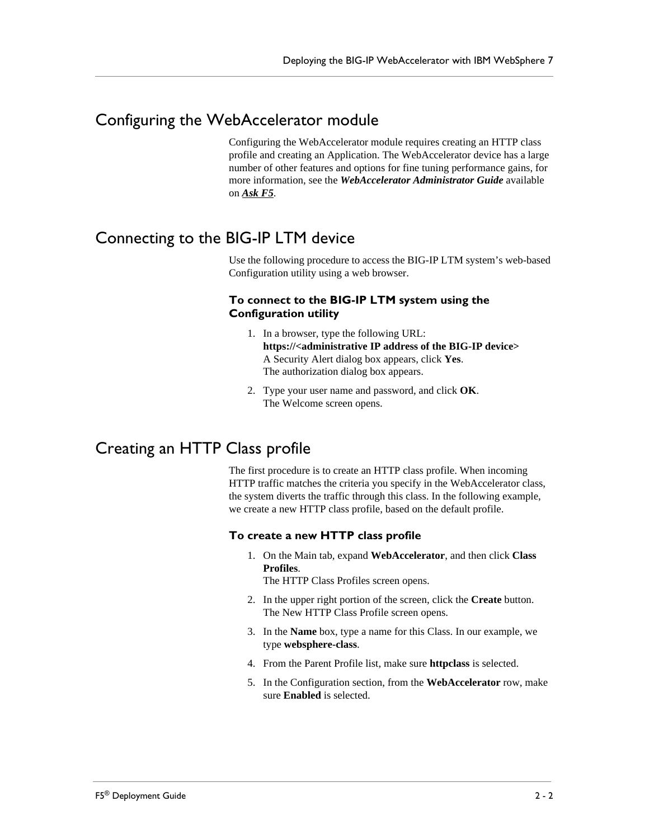## <span id="page-21-0"></span>Configuring the WebAccelerator module

Configuring the WebAccelerator module requires creating an HTTP class profile and creating an Application. The WebAccelerator device has a large number of other features and options for fine tuning performance gains, for more information, see the *WebAccelerator Administrator Guide* available on *[Ask F5](https://support.f5.com/kb/en-us/products/wa.html)*.

## <span id="page-21-1"></span>Connecting to the BIG-IP LTM device

Use the following procedure to access the BIG-IP LTM system's web-based Configuration utility using a web browser.

#### **To connect to the BIG-IP LTM system using the Configuration utility**

- 1. In a browser, type the following URL: **[https://<administrative IP address of the BIG-IP device>](https://bigip1.f5demo.com)** A Security Alert dialog box appears, click **Yes**. The authorization dialog box appears.
- 2. Type your user name and password, and click **OK**. The Welcome screen opens.

## <span id="page-21-2"></span>Creating an HTTP Class profile

The first procedure is to create an HTTP class profile. When incoming HTTP traffic matches the criteria you specify in the WebAccelerator class, the system diverts the traffic through this class. In the following example, we create a new HTTP class profile, based on the default profile.

#### **To create a new HTTP class profile**

1. On the Main tab, expand **WebAccelerator**, and then click **Class Profiles**.

The HTTP Class Profiles screen opens.

- 2. In the upper right portion of the screen, click the **Create** button. The New HTTP Class Profile screen opens.
- 3. In the **Name** box, type a name for this Class. In our example, we type **websphere-class**.
- 4. From the Parent Profile list, make sure **httpclass** is selected.
- 5. In the Configuration section, from the **WebAccelerator** row, make sure **Enabled** is selected.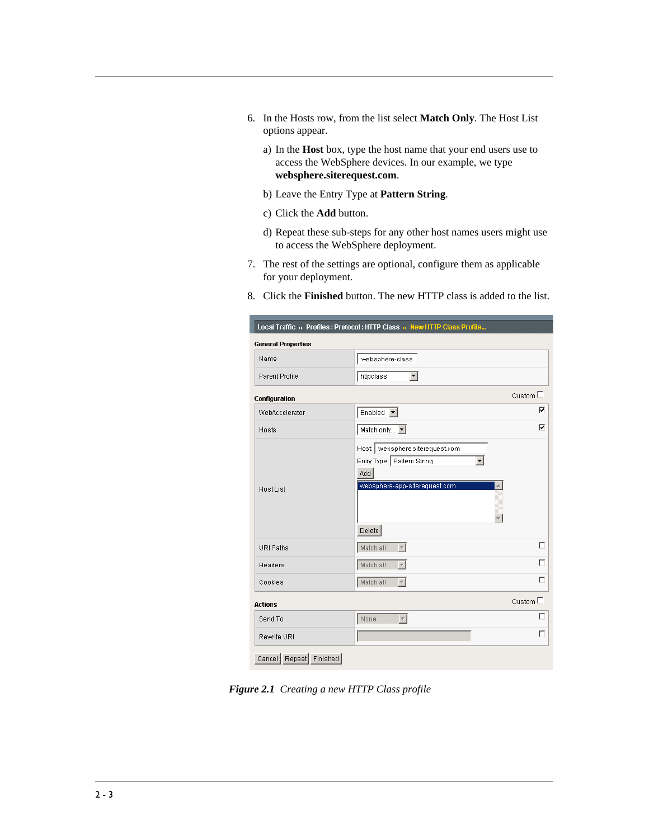- 6. In the Hosts row, from the list select **Match Only**. The Host List options appear.
	- a) In the **Host** box, type the host name that your end users use to access the WebSphere devices. In our example, we type **websphere.siterequest.com**.
	- b) Leave the Entry Type at **Pattern String**.
	- c) Click the **Add** button.
	- d) Repeat these sub-steps for any other host names users might use to access the WebSphere deployment.
- 7. The rest of the settings are optional, configure them as applicable for your deployment.
- 8. Click the **Finished** button. The new HTTP class is added to the list.

|                           | Local Traffic » Profiles: Protocol: HTTP Class » New HTTP Class Profile                                           |                  |
|---------------------------|-------------------------------------------------------------------------------------------------------------------|------------------|
| <b>General Properties</b> |                                                                                                                   |                  |
| Name                      | websphere-class                                                                                                   |                  |
| Parent Profile            | httpclass<br>▾                                                                                                    |                  |
| Configuration             |                                                                                                                   | Custom $\square$ |
| WebAccelerator            | Enabled $\blacktriangledown$                                                                                      | ⊽                |
| Hosts                     | Match only $\boxed{\bullet}$                                                                                      | ⊽                |
| Host List                 | Host:   websphere.siterequest.com<br>Entry Type: Pattern String<br>Add<br>websphere-app-siterequest.com<br>Delete |                  |
| URI Paths                 | Match all<br>$\overline{\phantom{0}}$                                                                             | г                |
| Headers                   | Match all<br>$\overline{\mathcal{F}}$                                                                             | г                |
| Cookies                   | Match all                                                                                                         | г                |
| <b>Actions</b>            |                                                                                                                   | Custom $\square$ |
| Send To                   | None<br>$\overline{\phantom{a}}$                                                                                  | г                |
| Rewrite URI               |                                                                                                                   | г                |
| Cancel Repeat<br>Finished |                                                                                                                   |                  |

*Figure 2.1 Creating a new HTTP Class profile*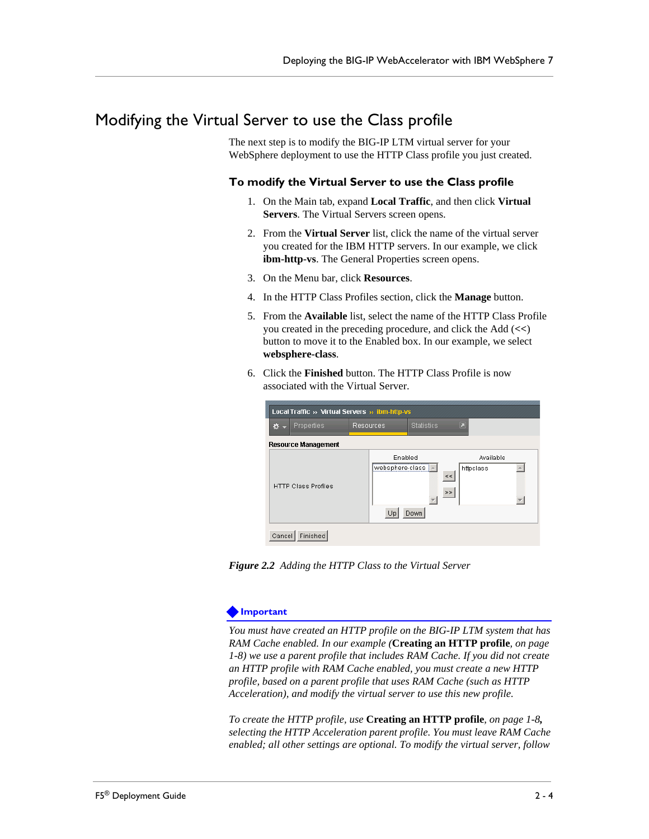## <span id="page-23-0"></span>Modifying the Virtual Server to use the Class profile

The next step is to modify the BIG-IP LTM virtual server for your WebSphere deployment to use the HTTP Class profile you just created.

#### **To modify the Virtual Server to use the Class profile**

- 1. On the Main tab, expand **Local Traffic**, and then click **Virtual Servers**. The Virtual Servers screen opens.
- 2. From the **Virtual Server** list, click the name of the virtual server you created for the IBM HTTP servers. In our example, we click **ibm-http-vs**. The General Properties screen opens.
- 3. On the Menu bar, click **Resources**.
- 4. In the HTTP Class Profiles section, click the **Manage** button.
- 5. From the **Available** list, select the name of the HTTP Class Profile you created in the preceding procedure, and click the Add (**<<**) button to move it to the Enabled box. In our example, we select **websphere-class**.
- 6. Click the **Finished** button. The HTTP Class Profile is now associated with the Virtual Server.

| Ø. | Properties                 | Resources                                       | <b>Statistics</b> | Ξ           |                        |  |
|----|----------------------------|-------------------------------------------------|-------------------|-------------|------------------------|--|
|    | <b>Resource Management</b> |                                                 |                   |             |                        |  |
|    | <b>HTTP Class Profiles</b> | Enabled<br>websphere-class $\vert$ $\sim$<br>Up | Down              | $<\,<$<br>> | Available<br>httpclass |  |

*Figure 2.2 Adding the HTTP Class to the Virtual Server*

#### **Important**

*You must have created an HTTP profile on the BIG-IP LTM system that has RAM Cache enabled. In our example (***Creating an HTTP profile***, on page 1-8) we use a parent profile that includes RAM Cache. If you did not create an HTTP profile with RAM Cache enabled, you must create a new HTTP profile, based on a parent profile that uses RAM Cache (such as HTTP Acceleration), and modify the virtual server to use this new profile.* 

*To create the HTTP profile, use* **Creating an HTTP profile***, on page 1-8, selecting the HTTP Acceleration parent profile. You must leave RAM Cache enabled; all other settings are optional. To modify the virtual server, follow*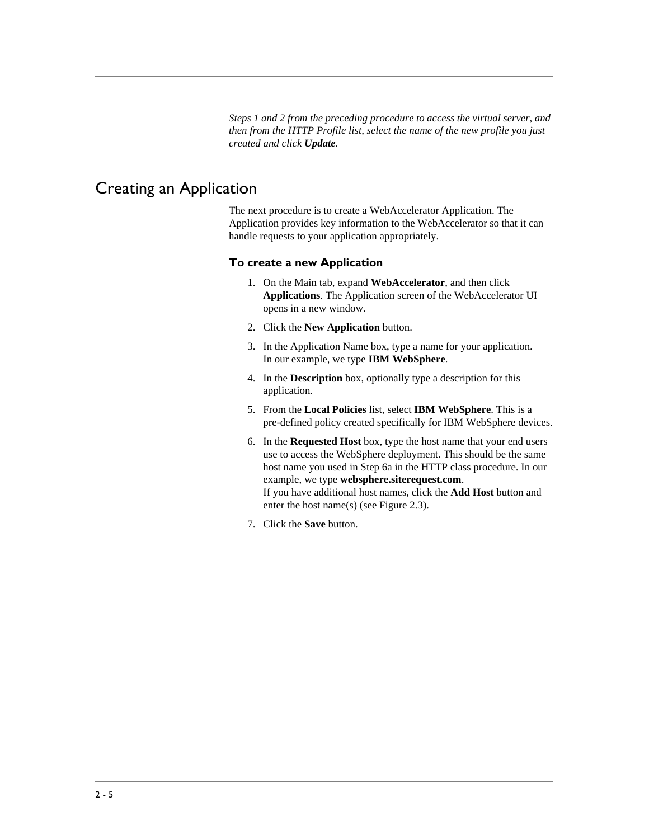*Steps 1 and 2 from the preceding procedure to access the virtual server, and then from the HTTP Profile list, select the name of the new profile you just created and click Update.*

## <span id="page-24-0"></span>Creating an Application

The next procedure is to create a WebAccelerator Application. The Application provides key information to the WebAccelerator so that it can handle requests to your application appropriately.

#### **To create a new Application**

- 1. On the Main tab, expand **WebAccelerator**, and then click **Applications**. The Application screen of the WebAccelerator UI opens in a new window.
- 2. Click the **New Application** button.
- 3. In the Application Name box, type a name for your application. In our example, we type **IBM WebSphere**.
- 4. In the **Description** box, optionally type a description for this application.
- 5. From the **Local Policies** list, select **IBM WebSphere**. This is a pre-defined policy created specifically for IBM WebSphere devices.
- 6. In the **Requested Host** box, type the host name that your end users use to access the WebSphere deployment. This should be the same host name you used in Step 6a in the HTTP class procedure. In our example, we type **websphere.siterequest.com**. If you have additional host names, click the **Add Host** button and enter the host name(s) (see Figure 2.3).
- 7. Click the **Save** button.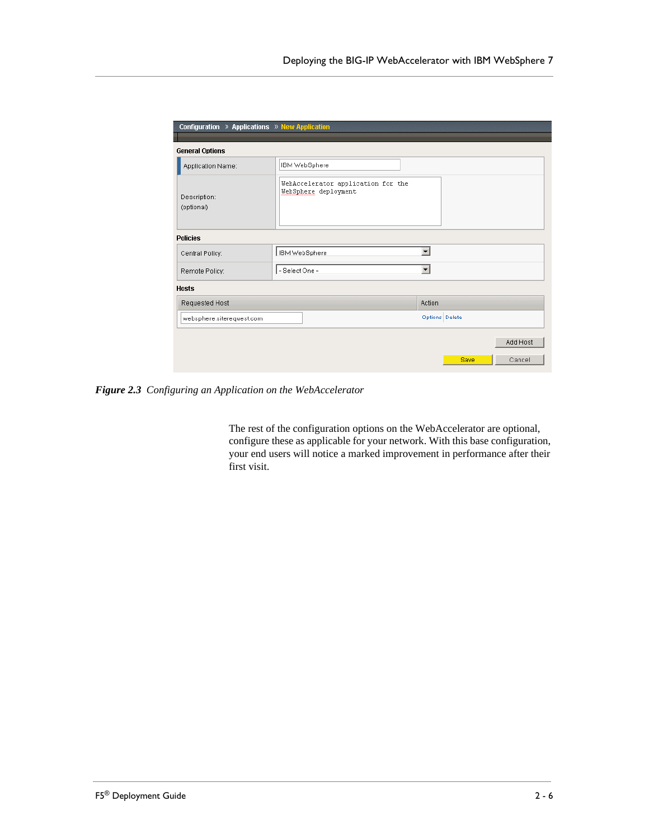| Configuration » Applications » New Application |                |                                                            |                      |                |          |
|------------------------------------------------|----------------|------------------------------------------------------------|----------------------|----------------|----------|
| <b>General Options</b>                         |                |                                                            |                      |                |          |
| Application Name:                              | IBM WebSphere  |                                                            |                      |                |          |
| Description:<br>(optional)                     |                | WebAccelerator application for the<br>WebSphere deployment |                      |                |          |
| <b>Policies</b>                                |                |                                                            |                      |                |          |
| Central Policy:                                | IBM WebSphere  |                                                            | $\blacktriangledown$ |                |          |
| Remote Policy:                                 | - Select One - |                                                            | $\blacktriangledown$ |                |          |
| <b>Hosts</b>                                   |                |                                                            |                      |                |          |
| Requested Host                                 |                |                                                            | <b>Action</b>        |                |          |
| websphere.siterequest.com                      |                |                                                            |                      | Options Delete |          |
|                                                |                |                                                            |                      |                | Add Host |
|                                                |                |                                                            |                      | Save           | Cancel   |

*Figure 2.3 Configuring an Application on the WebAccelerator*

The rest of the configuration options on the WebAccelerator are optional, configure these as applicable for your network. With this base configuration, your end users will notice a marked improvement in performance after their first visit.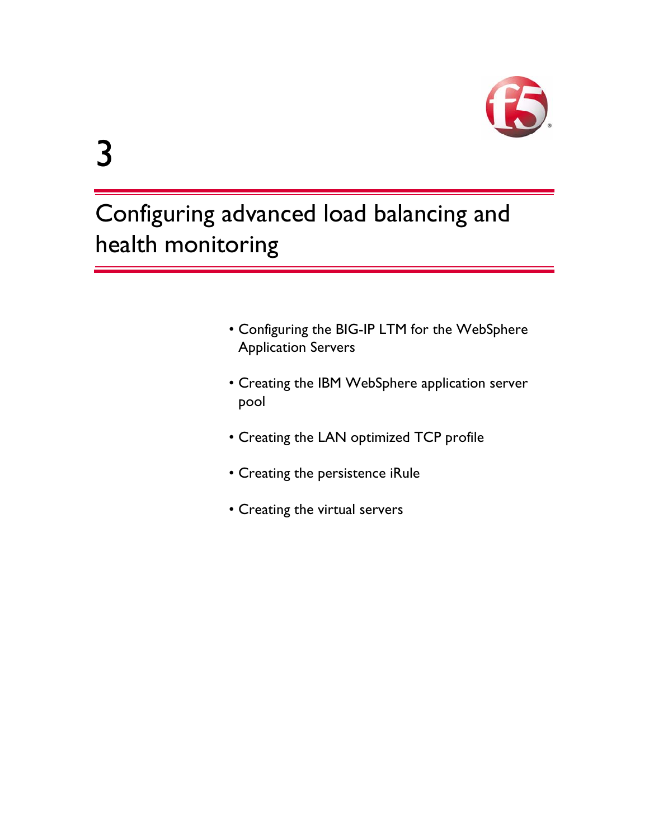

# <span id="page-27-0"></span>Configuring advanced load balancing and health monitoring

- • [Configuring the BIG-IP LTM for the WebSphere](#page-30-0)  [Application Servers](#page-30-0)
- • [Creating the IBM WebSphere application server](#page-30-1)  [pool](#page-30-1)
- • [Creating the LAN optimized TCP profile](#page-31-0)
- • [Creating the persistence iRule](#page-32-0)
- • [Creating the virtual servers](#page-33-0)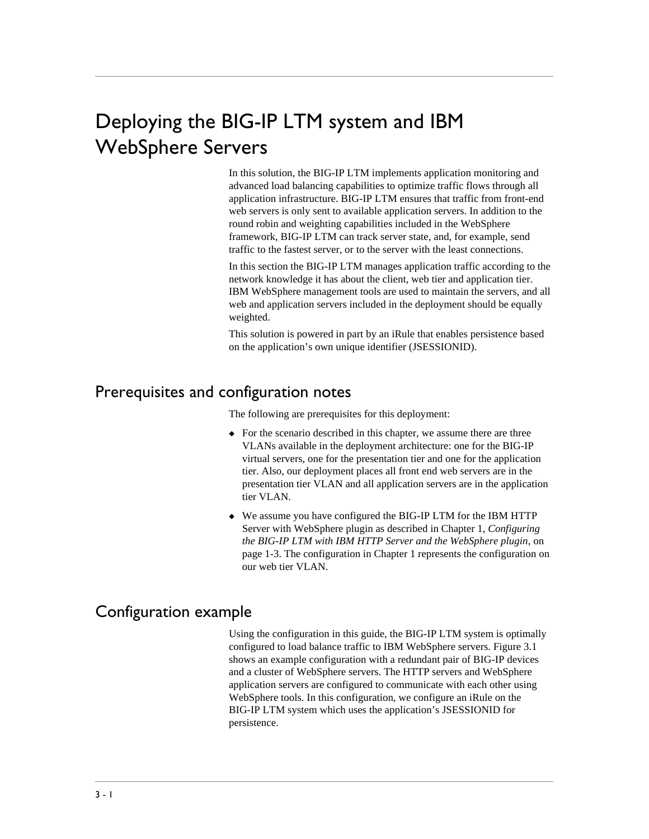# <span id="page-28-0"></span>Deploying the BIG-IP LTM system and IBM WebSphere Servers

In this solution, the BIG-IP LTM implements application monitoring and advanced load balancing capabilities to optimize traffic flows through all application infrastructure. BIG-IP LTM ensures that traffic from front-end web servers is only sent to available application servers. In addition to the round robin and weighting capabilities included in the WebSphere framework, BIG-IP LTM can track server state, and, for example, send traffic to the fastest server, or to the server with the least connections.

In this section the BIG-IP LTM manages application traffic according to the network knowledge it has about the client, web tier and application tier. IBM WebSphere management tools are used to maintain the servers, and all web and application servers included in the deployment should be equally weighted.

This solution is powered in part by an iRule that enables persistence based on the application's own unique identifier (JSESSIONID).

## <span id="page-28-1"></span>Prerequisites and configuration notes

The following are prerequisites for this deployment:

- ◆ For the scenario described in this chapter, we assume there are three VLANs available in the deployment architecture: one for the BIG-IP virtual servers, one for the presentation tier and one for the application tier. Also, our deployment places all front end web servers are in the presentation tier VLAN and all application servers are in the application tier VLAN.
- ◆ We assume you have configured the BIG-IP LTM for the IBM HTTP Server with WebSphere plugin as described in Chapter 1, *[Configuring](#page-5-3)  [the BIG-IP LTM with IBM HTTP Server and the WebSphere plugin](#page-5-3)*, on [page 1-3](#page-5-3). The configuration in Chapter 1 represents the configuration on our web tier VLAN.

## <span id="page-28-2"></span>Configuration example

Using the configuration in this guide, the BIG-IP LTM system is optimally configured to load balance traffic to IBM WebSphere servers. Figure 3.1 shows an example configuration with a redundant pair of BIG-IP devices and a cluster of WebSphere servers. The HTTP servers and WebSphere application servers are configured to communicate with each other using WebSphere tools. In this configuration, we configure an iRule on the BIG-IP LTM system which uses the application's JSESSIONID for persistence.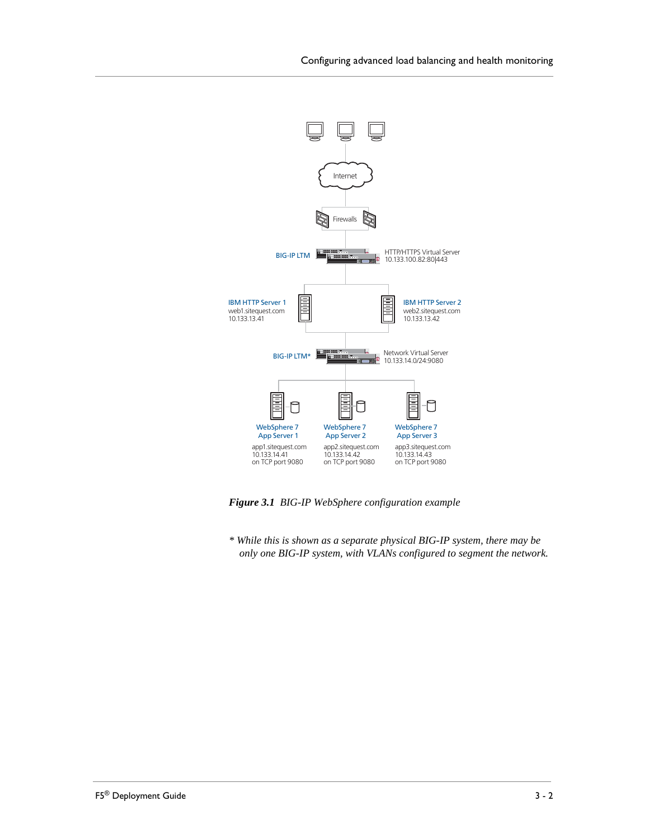

*Figure 3.1 BIG-IP WebSphere configuration example*

*\* While this is shown as a separate physical BIG-IP system, there may be only one BIG-IP system, with VLANs configured to segment the network.*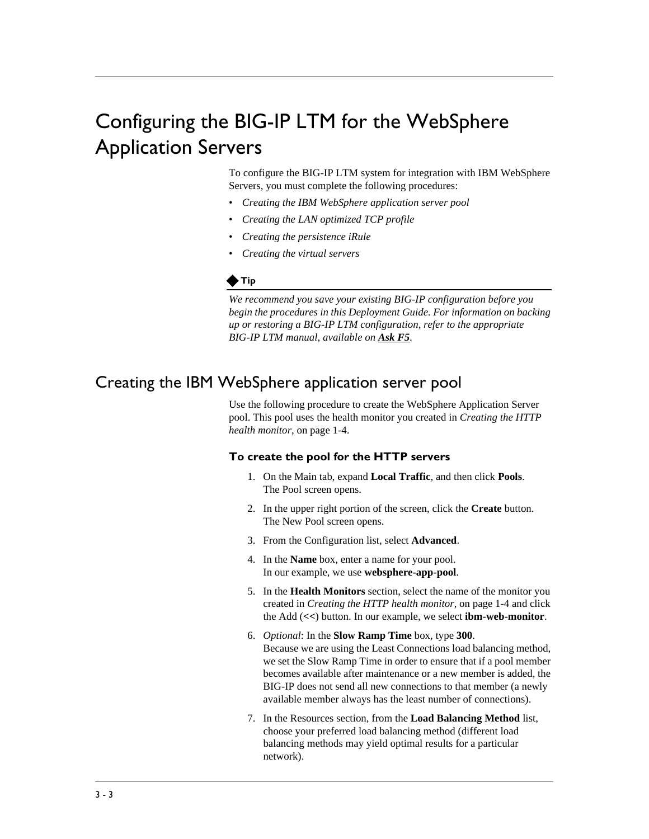## <span id="page-30-0"></span>Configuring the BIG-IP LTM for the WebSphere Application Servers

To configure the BIG-IP LTM system for integration with IBM WebSphere Servers, you must complete the following procedures:

- *[Creating the IBM WebSphere application server pool](#page-30-1)*
- *[Creating the LAN optimized TCP profile](#page-31-0)*
- *[Creating the persistence iRule](#page-32-0)*
- *[Creating the virtual servers](#page-33-0)*

#### **◆Tip**

*We recommend you save your existing BIG-IP configuration before you begin the procedures in this Deployment Guide. For information on backing up or restoring a BIG-IP LTM configuration, refer to the appropriate BIG-IP LTM manual, available on [Ask F5](https://support.f5.com/kb/en-us/products/big-ip_ltm.html?product=big-ip_ltm).*

## <span id="page-30-1"></span>Creating the IBM WebSphere application server pool

Use the following procedure to create the WebSphere Application Server pool. This pool uses the health monitor you created in *[Creating the HTTP](#page-6-1)  [health monitor](#page-6-1)*, on page 1-4.

#### **To create the pool for the HTTP servers**

- 1. On the Main tab, expand **Local Traffic**, and then click **Pools**. The Pool screen opens.
- 2. In the upper right portion of the screen, click the **Create** button. The New Pool screen opens.
- 3. From the Configuration list, select **Advanced**.
- 4. In the **Name** box, enter a name for your pool. In our example, we use **websphere-app-pool**.
- 5. In the **Health Monitors** section, select the name of the monitor you created in *[Creating the HTTP health monitor](#page-6-1)*, on page 1-4 and click the Add (**<<**) button. In our example, we select **ibm-web-monitor**.
- 6. *Optional*: In the **Slow Ramp Time** box, type **300**. Because we are using the Least Connections load balancing method, we set the Slow Ramp Time in order to ensure that if a pool member becomes available after maintenance or a new member is added, the BIG-IP does not send all new connections to that member (a newly available member always has the least number of connections).
- 7. In the Resources section, from the **Load Balancing Method** list, choose your preferred load balancing method (different load balancing methods may yield optimal results for a particular network).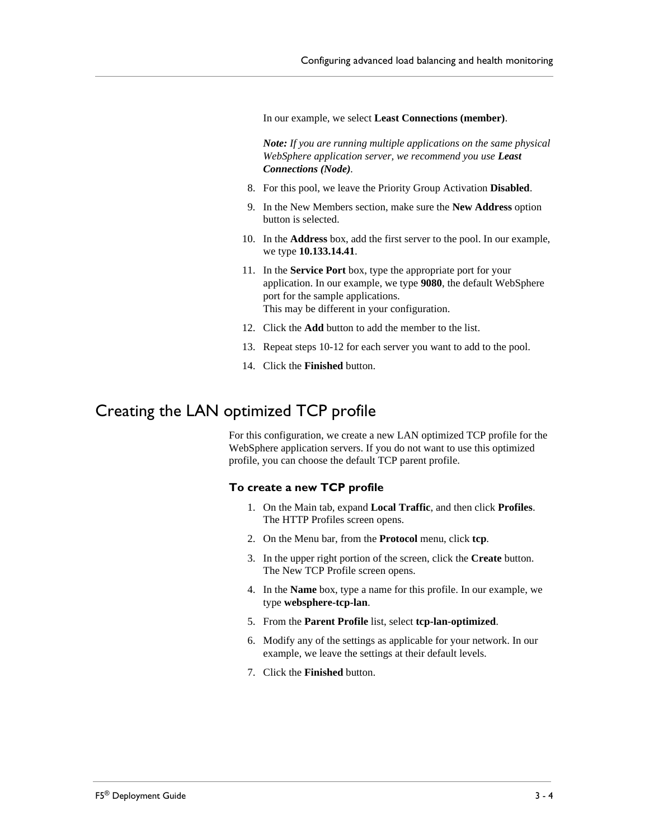In our example, we select **Least Connections (member)**.

*Note: If you are running multiple applications on the same physical WebSphere application server, we recommend you use Least Connections (Node).*

- 8. For this pool, we leave the Priority Group Activation **Disabled**.
- 9. In the New Members section, make sure the **New Address** option button is selected.
- 10. In the **Address** box, add the first server to the pool. In our example, we type **10.133.14.41**.
- 11. In the **Service Port** box, type the appropriate port for your application. In our example, we type **9080**, the default WebSphere port for the sample applications. This may be different in your configuration.
- 12. Click the **Add** button to add the member to the list.
- 13. Repeat steps 10-12 for each server you want to add to the pool.
- 14. Click the **Finished** button.

## <span id="page-31-0"></span>Creating the LAN optimized TCP profile

For this configuration, we create a new LAN optimized TCP profile for the WebSphere application servers. If you do not want to use this optimized profile, you can choose the default TCP parent profile.

#### **To create a new TCP profile**

- 1. On the Main tab, expand **Local Traffic**, and then click **Profiles**. The HTTP Profiles screen opens.
- 2. On the Menu bar, from the **Protocol** menu, click **tcp**.
- 3. In the upper right portion of the screen, click the **Create** button. The New TCP Profile screen opens.
- 4. In the **Name** box, type a name for this profile. In our example, we type **websphere-tcp-lan**.
- 5. From the **Parent Profile** list, select **tcp-lan-optimized**.
- 6. Modify any of the settings as applicable for your network. In our example, we leave the settings at their default levels.
- 7. Click the **Finished** button.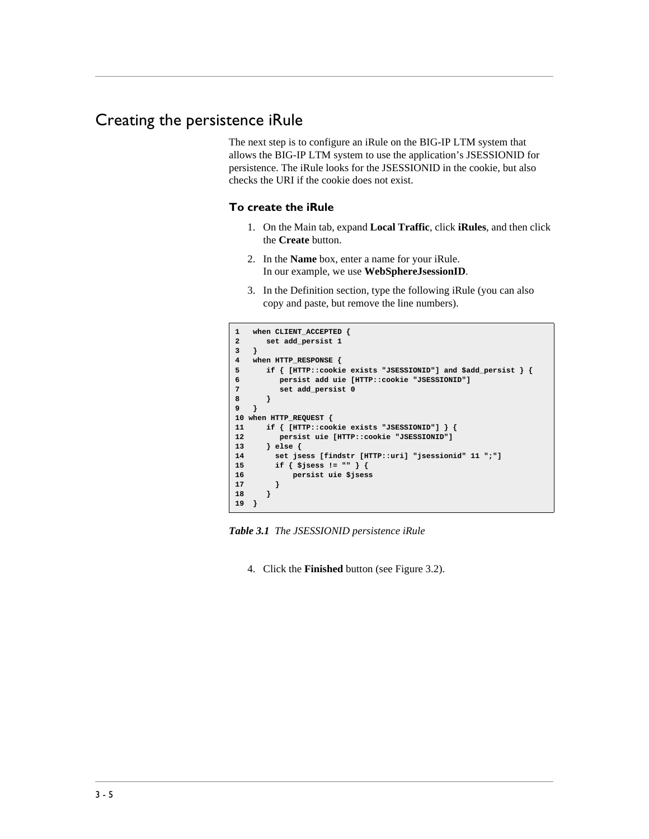## <span id="page-32-0"></span>Creating the persistence iRule

The next step is to configure an iRule on the BIG-IP LTM system that allows the BIG-IP LTM system to use the application's JSESSIONID for persistence. The iRule looks for the JSESSIONID in the cookie, but also checks the URI if the cookie does not exist.

#### **To create the iRule**

- 1. On the Main tab, expand **Local Traffic**, click **iRules**, and then click the **Create** button.
- 2. In the **Name** box, enter a name for your iRule. In our example, we use **WebSphereJsessionID**.
- 3. In the Definition section, type the following iRule (you can also copy and paste, but remove the line numbers).

```
1 when CLIENT_ACCEPTED {
2 set add_persist 1
3 }
4 when HTTP_RESPONSE {
5 if { [HTTP::cookie exists "JSESSIONID"] and $add_persist } {
6 persist add uie [HTTP::cookie "JSESSIONID"]
7 set add_persist 0
8 }
9 }
10 when HTTP_REQUEST {
11 if { [HTTP::cookie exists "JSESSIONID"] } {
12 persist uie [HTTP::cookie "JSESSIONID"]
13 } else {
14 set jsess [findstr [HTTP::uri] "jsessionid" 11 ";"]
15 if { $jsess != "" } {
16 persist uie $jsess
17 }
18 }
19 }
```
*Table 3.1 The JSESSIONID persistence iRule*

4. Click the **Finished** button (see Figure [3.2](#page-33-1)).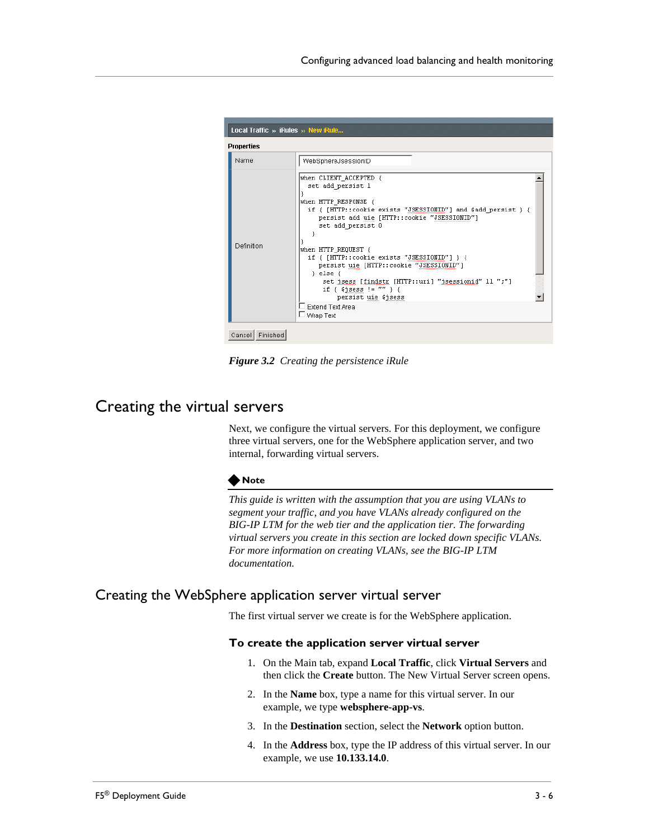

*Figure 3.2 Creating the persistence iRule*

## <span id="page-33-1"></span><span id="page-33-0"></span>Creating the virtual servers

Next, we configure the virtual servers. For this deployment, we configure three virtual servers, one for the WebSphere application server, and two internal, forwarding virtual servers.

#### **Note**

*This guide is written with the assumption that you are using VLANs to segment your traffic, and you have VLANs already configured on the BIG-IP LTM for the web tier and the application tier. The forwarding virtual servers you create in this section are locked down specific VLANs. For more information on creating VLANs, see the BIG-IP LTM documentation.*

## Creating the WebSphere application server virtual server

The first virtual server we create is for the WebSphere application.

#### **To create the application server virtual server**

- 1. On the Main tab, expand **Local Traffic**, click **Virtual Servers** and then click the **Create** button. The New Virtual Server screen opens.
- 2. In the **Name** box, type a name for this virtual server. In our example, we type **websphere-app-vs**.
- 3. In the **Destination** section, select the **Network** option button.
- 4. In the **Address** box, type the IP address of this virtual server. In our example, we use **10.133.14.0**.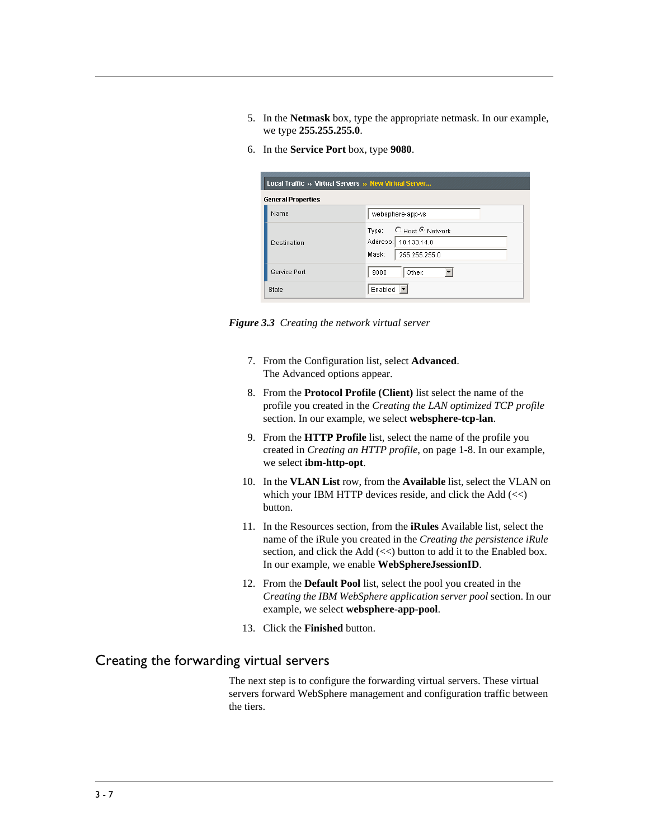- 5. In the **Netmask** box, type the appropriate netmask. In our example, we type **255.255.255.0**.
- 6. In the **Service Port** box, type **9080**.

| Local Traffic » Virtual Servers » New Virtual Server |                                                                             |  |  |  |
|------------------------------------------------------|-----------------------------------------------------------------------------|--|--|--|
| <b>General Properties</b>                            |                                                                             |  |  |  |
| Name                                                 | websphere-app-vs                                                            |  |  |  |
| Destination                                          | © Host © Network<br>Type:<br>Address: 10.133.14.0<br>Mask:<br>255.255.255.0 |  |  |  |
| Service Port                                         | Other:<br>9080                                                              |  |  |  |
| <b>State</b>                                         | Enabled                                                                     |  |  |  |

*Figure 3.3 Creating the network virtual server*

- 7. From the Configuration list, select **Advanced**. The Advanced options appear.
- 8. From the **Protocol Profile (Client)** list select the name of the profile you created in the *[Creating the LAN optimized TCP profile](#page-31-0)* section. In our example, we select **websphere-tcp-lan**.
- 9. From the **HTTP Profile** list, select the name of the profile you created in *[Creating an HTTP profile](#page-10-0)*, on page 1-8. In our example, we select **ibm-http-opt**.
- 10. In the **VLAN List** row, from the **Available** list, select the VLAN on which your IBM HTTP devices reside, and click the Add  $(\ll)$ button.
- 11. In the Resources section, from the **iRules** Available list, select the name of the iRule you created in the *[Creating the persistence iRule](#page-32-0)* section, and click the Add (<<) button to add it to the Enabled box. In our example, we enable **WebSphereJsessionID**.
- 12. From the **Default Pool** list, select the pool you created in the *[Creating the IBM WebSphere application server pool](#page-30-1)* section. In our example, we select **websphere-app-pool**.
- 13. Click the **Finished** button.

## Creating the forwarding virtual servers

The next step is to configure the forwarding virtual servers. These virtual servers forward WebSphere management and configuration traffic between the tiers.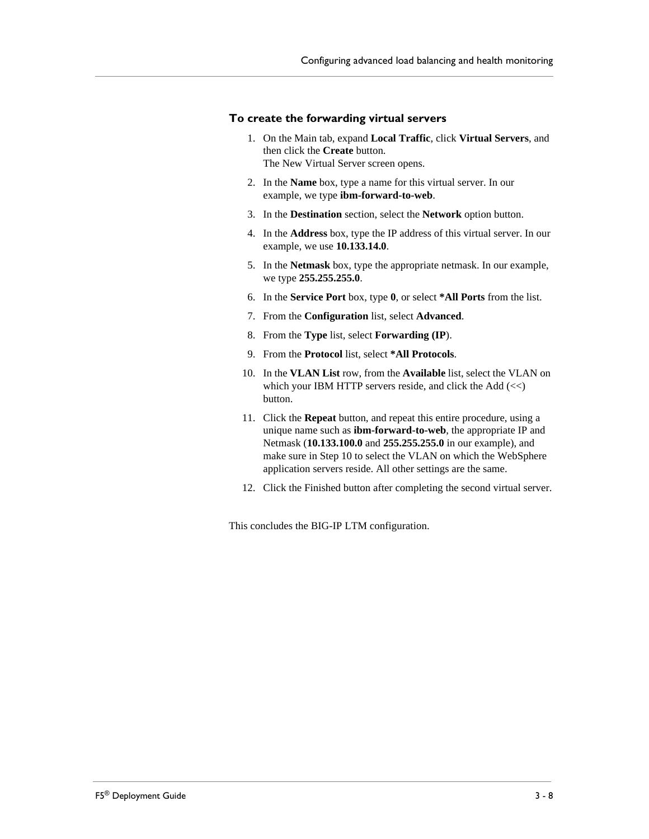#### **To create the forwarding virtual servers**

- 1. On the Main tab, expand **Local Traffic**, click **Virtual Servers**, and then click the **Create** button. The New Virtual Server screen opens.
- 2. In the **Name** box, type a name for this virtual server. In our example, we type **ibm-forward-to-web**.
- 3. In the **Destination** section, select the **Network** option button.
- 4. In the **Address** box, type the IP address of this virtual server. In our example, we use **10.133.14.0**.
- 5. In the **Netmask** box, type the appropriate netmask. In our example, we type **255.255.255.0**.
- 6. In the **Service Port** box, type **0**, or select **\*All Ports** from the list.
- 7. From the **Configuration** list, select **Advanced**.
- 8. From the **Type** list, select **Forwarding (IP**).
- 9. From the **Protocol** list, select **\*All Protocols**.
- 10. In the **VLAN List** row, from the **Available** list, select the VLAN on which your IBM HTTP servers reside, and click the Add  $\ll$ ) button.
- 11. Click the **Repeat** button, and repeat this entire procedure, using a unique name such as **ibm-forward-to-web**, the appropriate IP and Netmask (**10.133.100.0** and **255.255.255.0** in our example), and make sure in Step 10 to select the VLAN on which the WebSphere application servers reside. All other settings are the same.
- 12. Click the Finished button after completing the second virtual server.

This concludes the BIG-IP LTM configuration.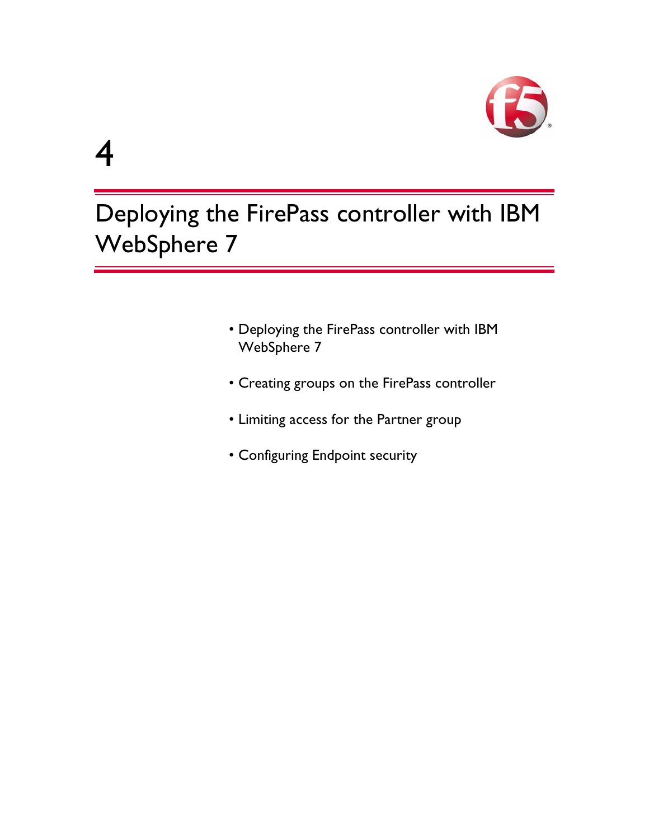

# 4

Deploying the FirePass controller with IBM WebSphere 7

- • [Deploying the FirePass controller with IBM](#page-37-0)  [WebSphere 7](#page-37-0)
- • [Creating groups on the FirePass controller](#page-38-2)
- • [Limiting access for the Partner group](#page-43-0)
- • [Configuring Endpoint security](#page-44-0)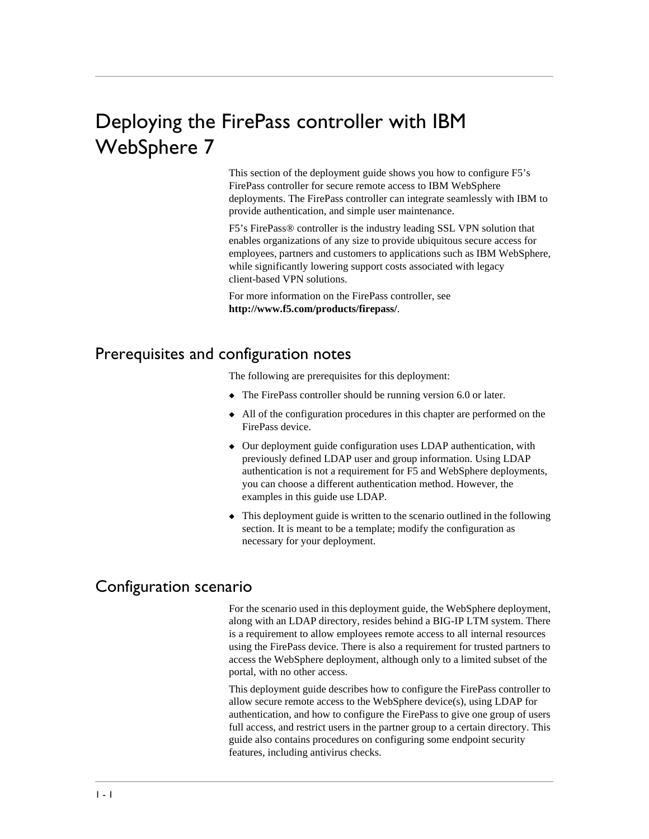## <span id="page-37-0"></span>Deploying the FirePass controller with IBM WebSphere 7

This section of the deployment guide shows you how to configure F5's FirePass controller for secure remote access to IBM WebSphere deployments. The FirePass controller can integrate seamlessly with IBM to provide authentication, and simple user maintenance.

F5's FirePass® controller is the industry leading SSL VPN solution that enables organizations of any size to provide ubiquitous secure access for employees, partners and customers to applications such as IBM WebSphere, while significantly lowering support costs associated with legacy client-based VPN solutions.

For more information on the FirePass controller, see **[http://www.f5.com/products/firepass/](http://www.f5.com/products/FirePass/)**.

## <span id="page-37-1"></span>Prerequisites and configuration notes

The following are prerequisites for this deployment:

- ◆ The FirePass controller should be running version 6.0 or later.
- All of the configuration procedures in this chapter are performed on the FirePass device.
- ◆ Our deployment guide configuration uses LDAP authentication, with previously defined LDAP user and group information. Using LDAP authentication is not a requirement for F5 and WebSphere deployments, you can choose a different authentication method. However, the examples in this guide use LDAP.
- ◆ This deployment guide is written to the scenario outlined in the following section. It is meant to be a template; modify the configuration as necessary for your deployment.

## <span id="page-37-2"></span>Configuration scenario

For the scenario used in this deployment guide, the WebSphere deployment, along with an LDAP directory, resides behind a BIG-IP LTM system. There is a requirement to allow employees remote access to all internal resources using the FirePass device. There is also a requirement for trusted partners to access the WebSphere deployment, although only to a limited subset of the portal, with no other access.

This deployment guide describes how to configure the FirePass controller to allow secure remote access to the WebSphere device(s), using LDAP for authentication, and how to configure the FirePass to give one group of users full access, and restrict users in the partner group to a certain directory. This guide also contains procedures on configuring some endpoint security features, including antivirus checks.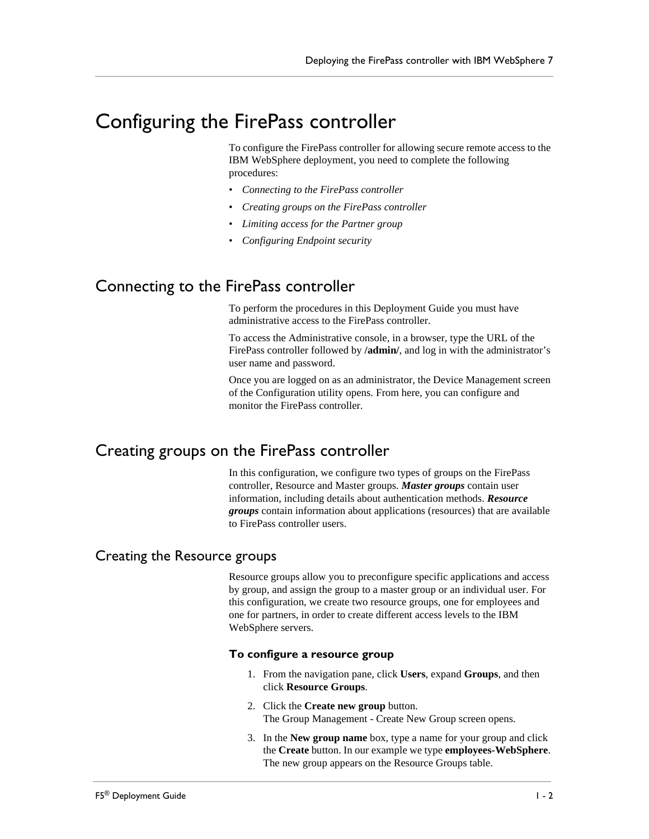## <span id="page-38-0"></span>Configuring the FirePass controller

To configure the FirePass controller for allowing secure remote access to the IBM WebSphere deployment, you need to complete the following procedures:

- *[Connecting to the FirePass controller](#page-38-1)*
- *[Creating groups on the FirePass controller](#page-38-2)*
- *[Limiting access for the Partner group](#page-43-0)*
- *[Configuring Endpoint security](#page-44-0)*

## <span id="page-38-1"></span>Connecting to the FirePass controller

To perform the procedures in this Deployment Guide you must have administrative access to the FirePass controller.

To access the Administrative console, in a browser, type the URL of the FirePass controller followed by **/admin/**, and log in with the administrator's user name and password.

Once you are logged on as an administrator, the Device Management screen of the Configuration utility opens. From here, you can configure and monitor the FirePass controller.

## <span id="page-38-2"></span>Creating groups on the FirePass controller

In this configuration, we configure two types of groups on the FirePass controller, Resource and Master groups. *Master groups* contain user information, including details about authentication methods. *Resource groups* contain information about applications (resources) that are available to FirePass controller users.

## Creating the Resource groups

Resource groups allow you to preconfigure specific applications and access by group, and assign the group to a master group or an individual user. For this configuration, we create two resource groups, one for employees and one for partners, in order to create different access levels to the IBM WebSphere servers.

#### **To configure a resource group**

- 1. From the navigation pane, click **Users**, expand **Groups**, and then click **Resource Groups**.
- 2. Click the **Create new group** button. The Group Management - Create New Group screen opens.
- 3. In the **New group name** box, type a name for your group and click the **Create** button. In our example we type **employees-WebSphere**. The new group appears on the Resource Groups table.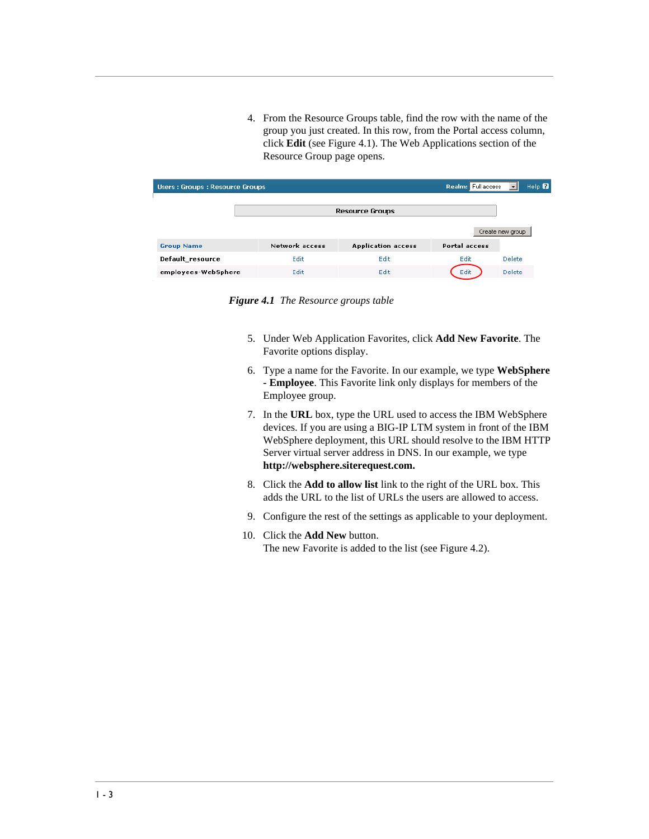4. From the Resource Groups table, find the row with the name of the group you just created. In this row, from the Portal access column, click **Edit** (see Figure 4.1). The Web Applications section of the Resource Group page opens.

| Users: Groups: Resource Groups |                       |                           | Realm: Full access   | Help <sup>1</sup> |
|--------------------------------|-----------------------|---------------------------|----------------------|-------------------|
|                                |                       | <b>Resource Groups</b>    |                      |                   |
|                                |                       |                           |                      | Create new group  |
| <b>Group Name</b>              | <b>Network access</b> | <b>Application access</b> | <b>Portal access</b> |                   |
| Default resource               | Edit                  | Edit                      | Edit                 | <b>Delete</b>     |
| employees-WebSphere            | Edit                  | Edit                      | Edit                 | <b>Delete</b>     |

*Figure 4.1 The Resource groups table*

- 5. Under Web Application Favorites, click **Add New Favorite**. The Favorite options display.
- 6. Type a name for the Favorite. In our example, we type **WebSphere - Employee**. This Favorite link only displays for members of the Employee group.
- 7. In the **URL** box, type the URL used to access the IBM WebSphere devices. If you are using a BIG-IP LTM system in front of the IBM WebSphere deployment, this URL should resolve to the IBM HTTP Server virtual server address in DNS. In our example, we type **http://websphere.siterequest.com.**
- 8. Click the **Add to allow list** link to the right of the URL box. This adds the URL to the list of URLs the users are allowed to access.
- 9. Configure the rest of the settings as applicable to your deployment.
- 10. Click the **Add New** button. The new Favorite is added to the list (see Figure 4.2).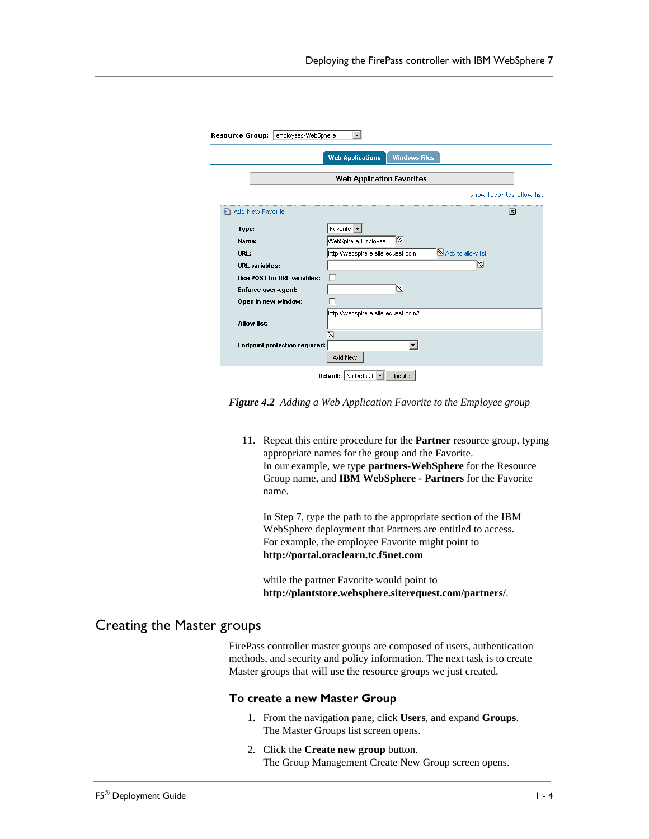|                                      | <b>Web Applications</b><br><b>Windows Files</b>                    |                           |
|--------------------------------------|--------------------------------------------------------------------|---------------------------|
|                                      |                                                                    |                           |
|                                      | Web Application Favorites                                          |                           |
|                                      |                                                                    | show favorites allow list |
| Add New Favorite                     |                                                                    | 츠                         |
| Type:                                | Favorite <b>v</b>                                                  |                           |
| Name:                                | $\sqrt{\frac{2}{5}}$<br>WebSphere-Employee                         |                           |
| URL:                                 | <sup>%</sup> Add to allow list<br>http://websphere.siterequest.com |                           |
| <b>URL</b> variables:                | %                                                                  |                           |
| <b>Use POST for URL variables:</b>   |                                                                    |                           |
| <b>Enforce user-agent:</b>           | $\%$                                                               |                           |
| Open in new window:                  |                                                                    |                           |
|                                      | http://websphere.siterequest.com/*                                 |                           |
| <b>Allow list:</b>                   |                                                                    |                           |
|                                      | 网                                                                  |                           |
| <b>Endpoint protection required:</b> |                                                                    |                           |

*Figure 4.2 Adding a Web Application Favorite to the Employee group*

11. Repeat this entire procedure for the **Partner** resource group, typing appropriate names for the group and the Favorite. In our example, we type **partners-WebSphere** for the Resource Group name, and **IBM WebSphere - Partners** for the Favorite name.

In Step 7, type the path to the appropriate section of the IBM WebSphere deployment that Partners are entitled to access. For example, the employee Favorite might point to **http://portal.oraclearn.tc.f5net.com**

while the partner Favorite would point to **http://plantstore.websphere.siterequest.com/partners/**.

## Creating the Master groups

FirePass controller master groups are composed of users, authentication methods, and security and policy information. The next task is to create Master groups that will use the resource groups we just created.

#### **To create a new Master Group**

- 1. From the navigation pane, click **Users**, and expand **Groups**. The Master Groups list screen opens.
- 2. Click the **Create new group** button. The Group Management Create New Group screen opens.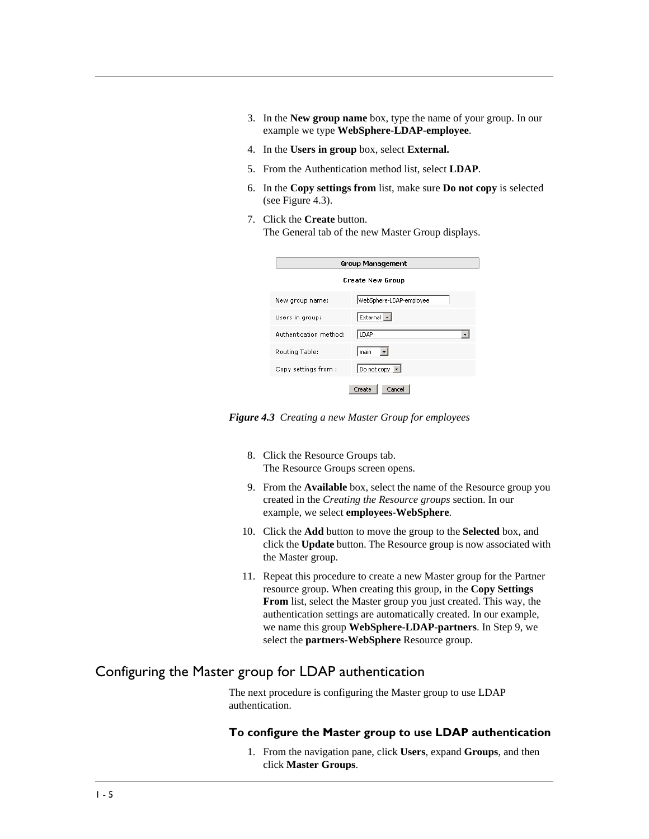- 3. In the **New group name** box, type the name of your group. In our example we type **WebSphere-LDAP-employee**.
- 4. In the **Users in group** box, select **External.**
- 5. From the Authentication method list, select **LDAP**.
- 6. In the **Copy settings from** list, make sure **Do not copy** is selected (see Figure 4.3).
- 7. Click the **Create** button. The General tab of the new Master Group displays.

|                        | Group Management        |  |
|------------------------|-------------------------|--|
|                        | <b>Create New Group</b> |  |
| New group name:        | WebSphere-LDAP-employee |  |
| Users in group:        | External -              |  |
| Authentication method: | LDAP                    |  |
| Routing Table:         | l main                  |  |
| Copy settings from:    | Do not copy $\boxed{-}$ |  |
| Cancel<br>Create       |                         |  |

*Figure 4.3 Creating a new Master Group for employees*

- 8. Click the Resource Groups tab. The Resource Groups screen opens.
- 9. From the **Available** box, select the name of the Resource group you created in the *Creating the Resource groups* section. In our example, we select **employees-WebSphere**.
- 10. Click the **Add** button to move the group to the **Selected** box, and click the **Update** button. The Resource group is now associated with the Master group.
- 11. Repeat this procedure to create a new Master group for the Partner resource group. When creating this group, in the **Copy Settings From** list, select the Master group you just created. This way, the authentication settings are automatically created. In our example, we name this group **WebSphere-LDAP-partners**. In Step 9, we select the **partners-WebSphere** Resource group.

## Configuring the Master group for LDAP authentication

The next procedure is configuring the Master group to use LDAP authentication.

#### **To configure the Master group to use LDAP authentication**

1. From the navigation pane, click **Users**, expand **Groups**, and then click **Master Groups**.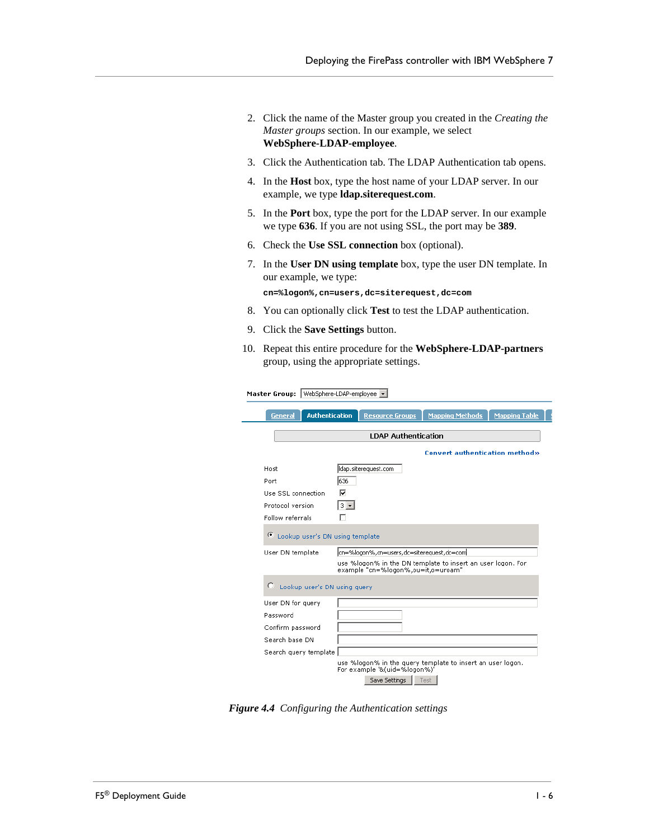- 2. Click the name of the Master group you created in the *Creating the Master groups* section. In our example, we select **WebSphere-LDAP-employee**.
- 3. Click the Authentication tab. The LDAP Authentication tab opens.
- 4. In the **Host** box, type the host name of your LDAP server. In our example, we type **ldap.siterequest.com**.
- 5. In the **Port** box, type the port for the LDAP server. In our example we type **636**. If you are not using SSL, the port may be **389**.
- 6. Check the **Use SSL connection** box (optional).
- 7. In the **User DN using template** box, type the user DN template. In our example, we type:

**cn=%logon%,cn=users,dc=siterequest,dc=com**

- 8. You can optionally click **Test** to test the LDAP authentication.
- 9. Click the **Save Settings** button.

Master Group: WebSphere-LDAP-employee v

10. Repeat this entire procedure for the **WebSphere-LDAP-partners** group, using the appropriate settings.

|                                      | <b>LDAP Authentication</b>                                                                                                                      |
|--------------------------------------|-------------------------------------------------------------------------------------------------------------------------------------------------|
|                                      |                                                                                                                                                 |
|                                      | <b>Convert authentication method»</b>                                                                                                           |
| Host                                 | ldap.siterequest.com                                                                                                                            |
| Port                                 | 636                                                                                                                                             |
| Use SSL connection                   | ⊽                                                                                                                                               |
| Protocol version                     | $3 -$                                                                                                                                           |
| Follow referrals                     |                                                                                                                                                 |
| Œ<br>Lookup user's DN using template |                                                                                                                                                 |
|                                      |                                                                                                                                                 |
| User DN template                     | cn=%logon%,cn=users,dc=siterequest,dc=com <br>use %logon% in the DN template to insert an user logon. For<br>example "cn=%logon%,ou=it,o=uroam" |
| C<br>Lookup user's DN using query    |                                                                                                                                                 |
| User DN for query                    |                                                                                                                                                 |
| Password                             |                                                                                                                                                 |
| Confirm password                     |                                                                                                                                                 |
| Search base DN                       |                                                                                                                                                 |

*Figure 4.4 Configuring the Authentication settings*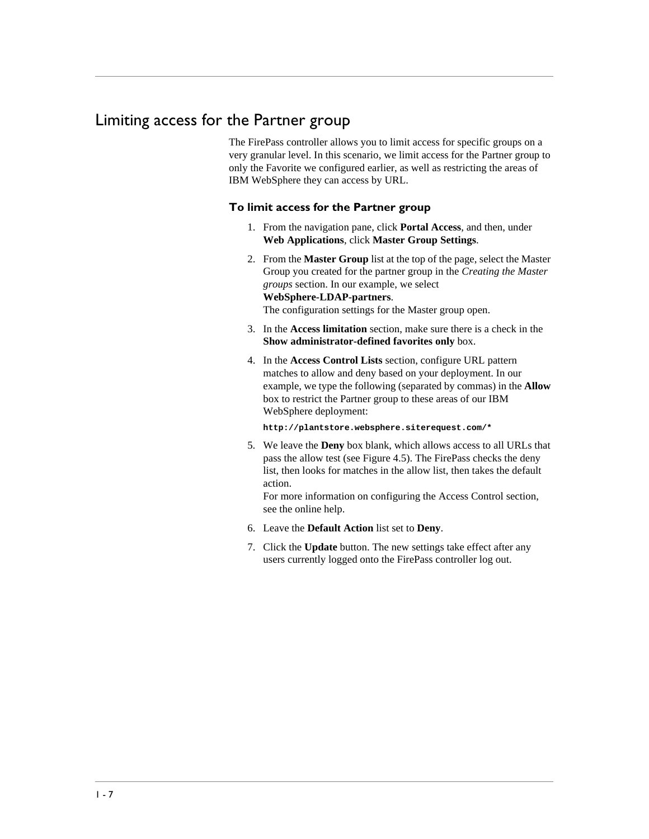## <span id="page-43-0"></span>Limiting access for the Partner group

The FirePass controller allows you to limit access for specific groups on a very granular level. In this scenario, we limit access for the Partner group to only the Favorite we configured earlier, as well as restricting the areas of IBM WebSphere they can access by URL.

#### **To limit access for the Partner group**

- 1. From the navigation pane, click **Portal Access**, and then, under **Web Applications**, click **Master Group Settings**.
- 2. From the **Master Group** list at the top of the page, select the Master Group you created for the partner group in the *Creating the Master groups* section. In our example, we select **WebSphere-LDAP-partners**. The configuration settings for the Master group open.
- 3. In the **Access limitation** section, make sure there is a check in the **Show administrator-defined favorites only** box.
- 4. In the **Access Control Lists** section, configure URL pattern matches to allow and deny based on your deployment. In our example, we type the following (separated by commas) in the **Allow** box to restrict the Partner group to these areas of our IBM WebSphere deployment:

**http://plantstore.websphere.siterequest.com/\*** 

5. We leave the **Deny** box blank, which allows access to all URLs that pass the allow test (see Figure 4.5). The FirePass checks the deny list, then looks for matches in the allow list, then takes the default action.

For more information on configuring the Access Control section, see the online help.

- 6. Leave the **Default Action** list set to **Deny**.
- 7. Click the **Update** button. The new settings take effect after any users currently logged onto the FirePass controller log out.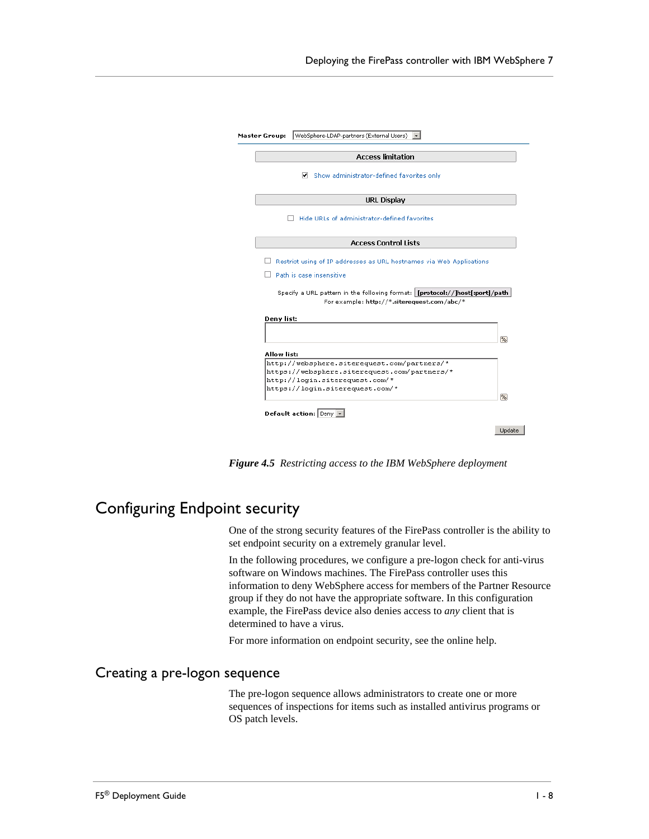|                                                                                             | <b>Access limitation</b>                                                       |
|---------------------------------------------------------------------------------------------|--------------------------------------------------------------------------------|
| ▿                                                                                           | Show administrator-defined favorites only                                      |
|                                                                                             | <b>URL Display</b>                                                             |
|                                                                                             | Hide URLs of administrator-defined favorites                                   |
|                                                                                             | <b>Access Control Lists</b>                                                    |
|                                                                                             | Restrict using of IP addresses as URL hostnames via Web Applications           |
|                                                                                             |                                                                                |
|                                                                                             |                                                                                |
| Path is case insensitive                                                                    |                                                                                |
|                                                                                             | Specify a URL pattern in the following format:   [protocol://]host[:port]/path |
|                                                                                             | For example: http://*.siterequest.com/abc/*                                    |
| Deny list:                                                                                  |                                                                                |
|                                                                                             |                                                                                |
|                                                                                             |                                                                                |
| Allow list:                                                                                 |                                                                                |
| http://websphere.siterequest.com/partners/*<br>https://websphere.siterequest.com/partners/* |                                                                                |
| http://login.siterequest.com/*                                                              |                                                                                |
| https://login.siterequest.com/*                                                             |                                                                                |
| Default action: Deny V                                                                      |                                                                                |

*Figure 4.5 Restricting access to the IBM WebSphere deployment*

## <span id="page-44-0"></span>Configuring Endpoint security

One of the strong security features of the FirePass controller is the ability to set endpoint security on a extremely granular level.

In the following procedures, we configure a pre-logon check for anti-virus software on Windows machines. The FirePass controller uses this information to deny WebSphere access for members of the Partner Resource group if they do not have the appropriate software. In this configuration example, the FirePass device also denies access to *any* client that is determined to have a virus.

For more information on endpoint security, see the online help.

## Creating a pre-logon sequence

The pre-logon sequence allows administrators to create one or more sequences of inspections for items such as installed antivirus programs or OS patch levels.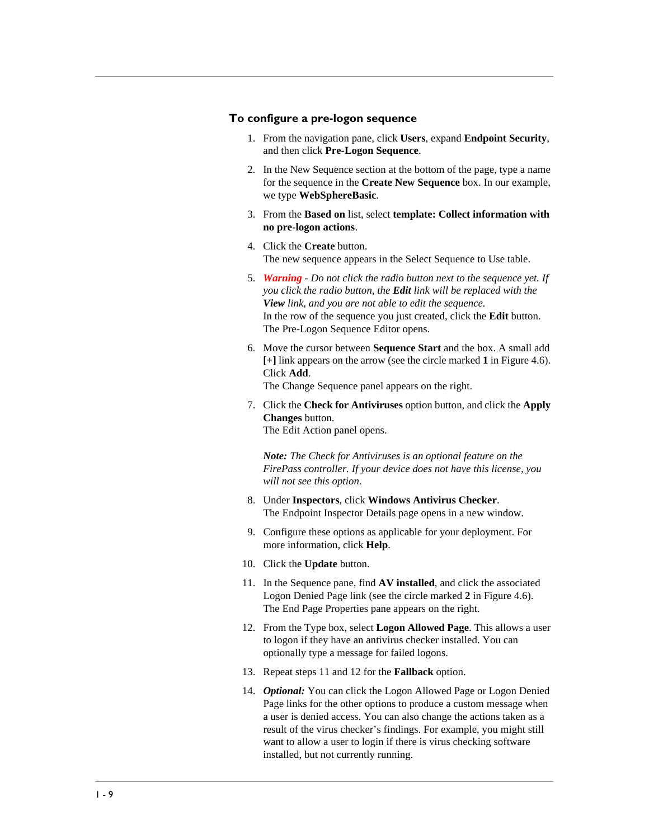#### **To configure a pre-logon sequence**

- 1. From the navigation pane, click **Users**, expand **Endpoint Security**, and then click **Pre-Logon Sequence**.
- 2. In the New Sequence section at the bottom of the page, type a name for the sequence in the **Create New Sequence** box. In our example, we type **WebSphereBasic**.
- 3. From the **Based on** list, select **template: Collect information with no pre-logon actions**.
- 4. Click the **Create** button. The new sequence appears in the Select Sequence to Use table.
- 5. *Warning Do not click the radio button next to the sequence yet. If you click the radio button, the Edit link will be replaced with the View link, and you are not able to edit the sequence.* In the row of the sequence you just created, click the **Edit** button. The Pre-Logon Sequence Editor opens.
- 6. Move the cursor between **Sequence Start** and the box. A small add **[+]** link appears on the arrow (see the circle marked **1** in Figure 4.6). Click **Add**. The Change Sequence panel appears on the right.

7. Click the **Check for Antiviruses** option button, and click the **Apply Changes** button. The Edit Action panel opens.

*Note: The Check for Antiviruses is an optional feature on the FirePass controller. If your device does not have this license, you will not see this option.*

- 8. Under **Inspectors**, click **Windows Antivirus Checker**. The Endpoint Inspector Details page opens in a new window.
- 9. Configure these options as applicable for your deployment. For more information, click **Help**.
- 10. Click the **Update** button.
- 11. In the Sequence pane, find **AV installed**, and click the associated Logon Denied Page link (see the circle marked **2** in Figure 4.6). The End Page Properties pane appears on the right.
- 12. From the Type box, select **Logon Allowed Page**. This allows a user to logon if they have an antivirus checker installed. You can optionally type a message for failed logons.
- 13. Repeat steps 11 and 12 for the **Fallback** option.
- 14. *Optional:* You can click the Logon Allowed Page or Logon Denied Page links for the other options to produce a custom message when a user is denied access. You can also change the actions taken as a result of the virus checker's findings. For example, you might still want to allow a user to login if there is virus checking software installed, but not currently running.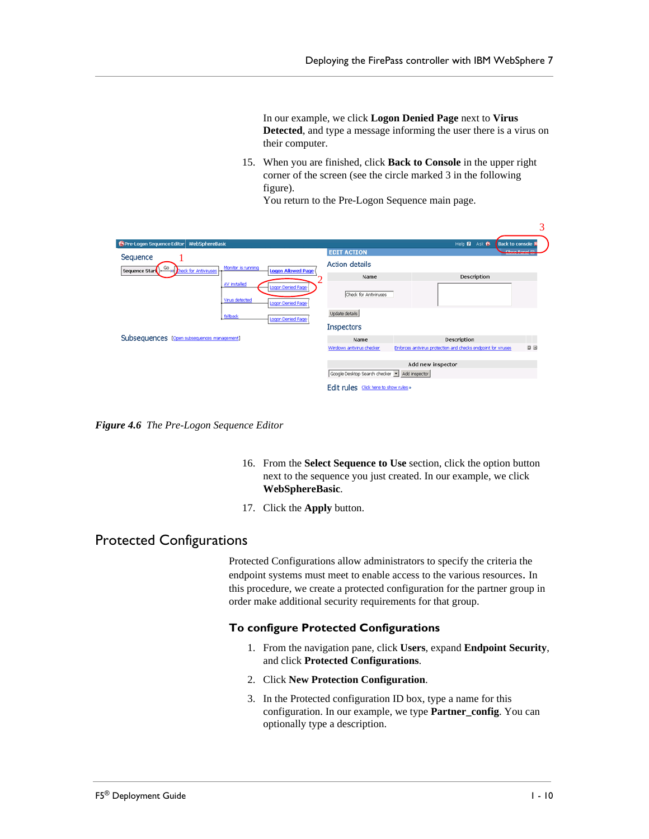In our example, we click **Logon Denied Page** next to **Virus Detected**, and type a message informing the user there is a virus on their computer.

15. When you are finished, click **Back to Console** in the upper right corner of the screen (see the circle marked 3 in the following figure).

You return to the Pre-Logon Sequence main page.

|                                                                                                            |                                               |                                                               | ັ         |
|------------------------------------------------------------------------------------------------------------|-----------------------------------------------|---------------------------------------------------------------|-----------|
| <b>15</b> Pre-Logon Sequence Editor<br>WebSphereBasic                                                      |                                               | Help <b>2</b> Ask <b>6</b><br><b>Back to console &amp;</b>    |           |
| Sequence                                                                                                   | <b>EDIT ACTION</b>                            | Close Danel @                                                 |           |
| Monitor is running<br>GO<br><b>HH</b> theck for Antiviruses<br><b>Logon Allowed Page</b><br>Sequence Start | <b>Action details</b>                         |                                                               |           |
|                                                                                                            | Name                                          | Description                                                   |           |
| AV installed<br>Logon Denied Page                                                                          | Check for Antiviruses                         |                                                               |           |
| Virus detected<br>Logon Denied Page                                                                        |                                               |                                                               |           |
| fallback<br>Logon Denied Page                                                                              | Update details                                |                                                               |           |
|                                                                                                            | <b>Inspectors</b>                             |                                                               |           |
| Subsequences [Open subsequences management]                                                                | Name                                          | Description                                                   |           |
|                                                                                                            | Windows antivirus checker                     | Enforces antivirus protection and checks endpoint for viruses | <b>DB</b> |
|                                                                                                            |                                               |                                                               |           |
|                                                                                                            |                                               | Add new inspector                                             |           |
|                                                                                                            | Google Desktop Search checker   Add inspector |                                                               |           |
|                                                                                                            | Edit rules Click here to show rules »         |                                                               |           |

*Figure 4.6 The Pre-Logon Sequence Editor*

- 16. From the **Select Sequence to Use** section, click the option button next to the sequence you just created. In our example, we click **WebSphereBasic**.
- 17. Click the **Apply** button.

## Protected Configurations

Protected Configurations allow administrators to specify the criteria the endpoint systems must meet to enable access to the various resources. In this procedure, we create a protected configuration for the partner group in order make additional security requirements for that group.

#### **To configure Protected Configurations**

- 1. From the navigation pane, click **Users**, expand **Endpoint Security**, and click **Protected Configurations**.
- 2. Click **New Protection Configuration**.
- 3. In the Protected configuration ID box, type a name for this configuration. In our example, we type **Partner\_config**. You can optionally type a description.

 $\overline{a}$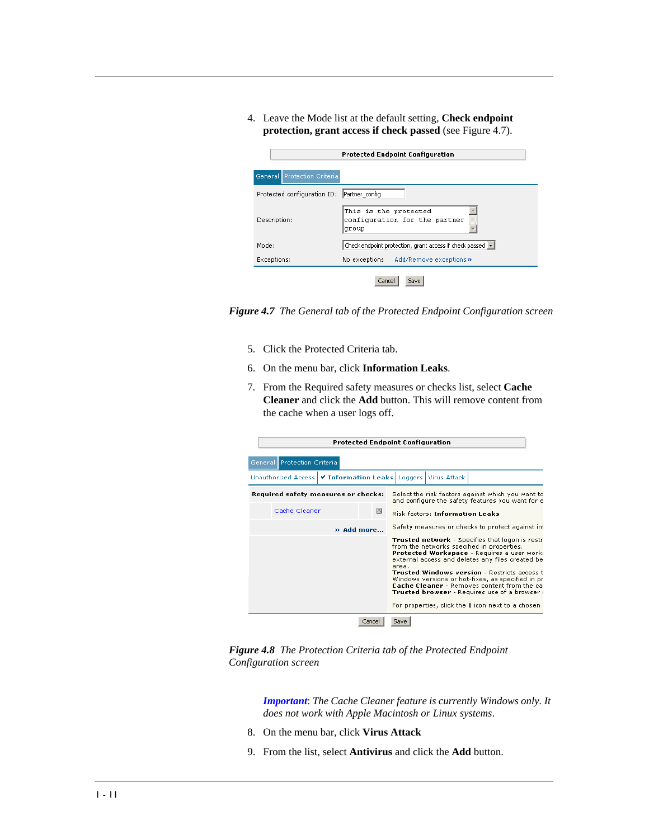4. Leave the Mode list at the default setting, **Check endpoint protection, grant access if check passed** (see Figure 4.7).

|                                               | <b>Protected Endpoint Configuration</b>                         |  |  |  |  |
|-----------------------------------------------|-----------------------------------------------------------------|--|--|--|--|
| General Protection Criteria                   |                                                                 |  |  |  |  |
| Protected configuration ID:<br>Partner_config |                                                                 |  |  |  |  |
| Description:                                  | This is the protected<br>configuration for the partner<br>group |  |  |  |  |
| Mode:                                         | Check endpoint protection, grant access if check passed v       |  |  |  |  |
| Exceptions:                                   | No exceptions Add/Remove exceptions»                            |  |  |  |  |
| Cancel<br>Save                                |                                                                 |  |  |  |  |

*Figure 4.7 The General tab of the Protected Endpoint Configuration screen*

- 5. Click the Protected Criteria tab.
- 6. On the menu bar, click **Information Leaks**.
- 7. From the Required safety measures or checks list, select **Cache Cleaner** and click the **Add** button. This will remove content from the cache when a user logs off.

|                                                           | <b>Protected Endpoint Configuration</b>                                                                                                                                                                                                                                                                                                                                                                                                                                              |
|-----------------------------------------------------------|--------------------------------------------------------------------------------------------------------------------------------------------------------------------------------------------------------------------------------------------------------------------------------------------------------------------------------------------------------------------------------------------------------------------------------------------------------------------------------------|
| General Protection Criteria                               |                                                                                                                                                                                                                                                                                                                                                                                                                                                                                      |
| ✔ Information Leaks Loggers<br><b>Unauthorized Access</b> | Virus Attack                                                                                                                                                                                                                                                                                                                                                                                                                                                                         |
| Required safety measures or checks:                       | Select the risk factors against which you want to<br>and configure the safety features you want for e                                                                                                                                                                                                                                                                                                                                                                                |
| Cache Cleaner<br>$\vert x \vert$                          | <b>Risk factors: Information Leaks</b>                                                                                                                                                                                                                                                                                                                                                                                                                                               |
| » Add more                                                | Safety measures or checks to protect against inf                                                                                                                                                                                                                                                                                                                                                                                                                                     |
|                                                           | Trusted network - Specifies that logon is restr<br>from the networks specified in properties.<br>Protected Workspace - Requires a user work:<br>external access and deletes any files created be<br>area.<br><b>Trusted Windows version - Restricts access t</b><br>Windows versions or hot-fixes, as specified in pr<br><b>Cache Cleaner</b> - Removes content from the car<br>Trusted browser - Requires use of a browser :<br>For properties, click the I icon next to a chosen : |
| Cancel                                                    | Save                                                                                                                                                                                                                                                                                                                                                                                                                                                                                 |

*Figure 4.8 The Protection Criteria tab of the Protected Endpoint Configuration screen*

*Important*: *The Cache Cleaner feature is currently Windows only. It does not work with Apple Macintosh or Linux systems*.

- 8. On the menu bar, click **Virus Attack**
- 9. From the list, select **Antivirus** and click the **Add** button.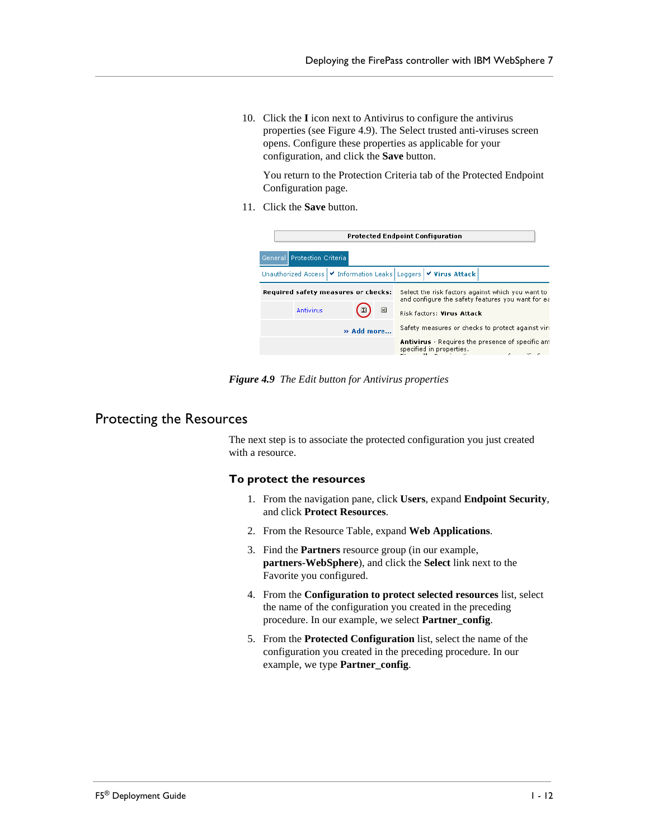10. Click the **I** icon next to Antivirus to configure the antivirus properties (see Figure 4.9). The Select trusted anti-viruses screen opens. Configure these properties as applicable for your configuration, and click the **Save** button.

You return to the Protection Criteria tab of the Protected Endpoint Configuration page.

11. Click the **Save** button.



*Figure 4.9 The Edit button for Antivirus properties*

#### Protecting the Resources

The next step is to associate the protected configuration you just created with a resource.

#### **To protect the resources**

- 1. From the navigation pane, click **Users**, expand **Endpoint Security**, and click **Protect Resources**.
- 2. From the Resource Table, expand **Web Applications**.
- 3. Find the **Partners** resource group (in our example, **partners-WebSphere**), and click the **Select** link next to the Favorite you configured.
- 4. From the **Configuration to protect selected resources** list, select the name of the configuration you created in the preceding procedure. In our example, we select **Partner\_config**.
- 5. From the **Protected Configuration** list, select the name of the configuration you created in the preceding procedure. In our example, we type **Partner\_config**.